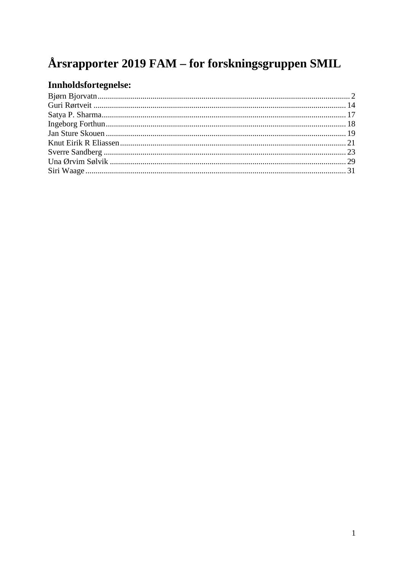# Årsrapporter 2019 FAM – for forskningsgruppen SMIL

## Innholdsfortegnelse: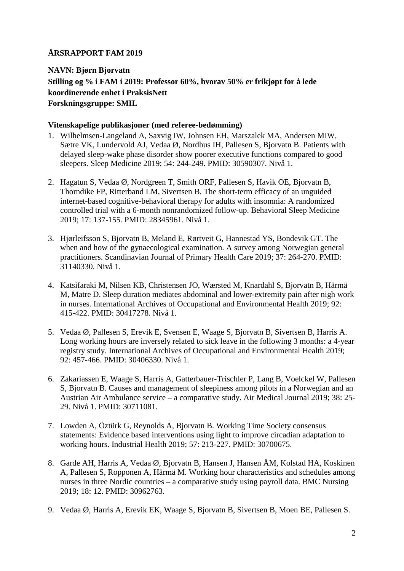## <span id="page-1-0"></span>**NAVN: Bjørn Bjorvatn Stilling og % i FAM i 2019: Professor 60%, hvorav 50% er frikjøpt for å lede koordinerende enhet i PraksisNett Forskningsgruppe: SMIL**

#### **Vitenskapelige publikasjoner (med referee-bedømming)**

- 1. Wilhelmsen-Langeland A, Saxvig IW, Johnsen EH, Marszalek MA, Andersen MIW, Sætre VK, Lundervold AJ, Vedaa Ø, Nordhus IH, Pallesen S, Bjorvatn B. Patients with delayed sleep-wake phase disorder show poorer executive functions compared to good sleepers. Sleep Medicine 2019; 54: 244-249. PMID: 30590307. Nivå 1.
- 2. Hagatun S, Vedaa Ø, Nordgreen T, Smith ORF, Pallesen S, Havik OE, Bjorvatn B, Thorndike FP, Ritterband LM, Sivertsen B. The short-term efficacy of an unguided internet-based cognitive-behavioral therapy for adults with insomnia: A randomized controlled trial with a 6-month nonrandomized follow-up. Behavioral Sleep Medicine 2019; 17: 137-155. PMID: 28345961. Nivå 1.
- 3. Hjørleifsson S, Bjorvatn B, Meland E, Rørtveit G, Hannestad YS, Bondevik GT. The when and how of the gynaecological examination. A survey among Norwegian general practitioners. Scandinavian Journal of Primary Health Care 2019; 37: 264-270. PMID: 31140330. Nivå 1.
- 4. Katsifaraki M, Nilsen KB, Christensen JO, Wærsted M, Knardahl S, Bjorvatn B, Härmä M, Matre D. Sleep duration mediates abdominal and lower-extremity pain after nigh work in nurses. International Archives of Occupational and Environmental Health 2019; 92: 415-422. PMID: 30417278. Nivå 1.
- 5. Vedaa Ø, Pallesen S, Erevik E, Svensen E, Waage S, Bjorvatn B, Sivertsen B, Harris A. Long working hours are inversely related to sick leave in the following 3 months: a 4-year registry study. International Archives of Occupational and Environmental Health 2019; 92: 457-466. PMID: 30406330. Nivå 1.
- 6. Zakariassen E, Waage S, Harris A, Gatterbauer-Trischler P, Lang B, Voelckel W, Pallesen S, Bjorvatn B. Causes and management of sleepiness among pilots in a Norwegian and an Austrian Air Ambulance service – a comparative study. Air Medical Journal 2019; 38: 25- 29. Nivå 1. PMID: 30711081.
- 7. Lowden A, Öztürk G, Reynolds A, Bjorvatn B. Working Time Society consensus statements: Evidence based interventions using light to improve circadian adaptation to working hours. Industrial Health 2019; 57: 213-227. PMID: 30700675.
- 8. Garde AH, Harris A, Vedaa Ø, Bjorvatn B, Hansen J, Hansen ÅM, Kolstad HA, Koskinen A, Pallesen S, Ropponen A, Härmä M. Working hour characteristics and schedules among nurses in three Nordic countries – a comparative study using payroll data. BMC Nursing 2019; 18: 12. PMID: 30962763.
- 9. Vedaa Ø, Harris A, Erevik EK, Waage S, Bjorvatn B, Sivertsen B, Moen BE, Pallesen S.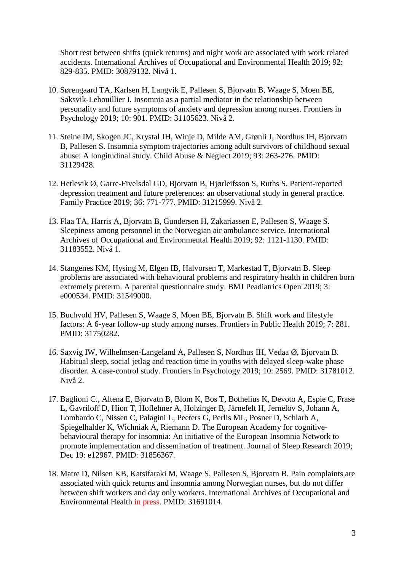Short rest between shifts (quick returns) and night work are associated with work related accidents. International Archives of Occupational and Environmental Health 2019; 92: 829-835. PMID: 30879132. Nivå 1.

- 10. Sørengaard TA, Karlsen H, Langvik E, Pallesen S, Bjorvatn B, Waage S, Moen BE, Saksvik-Lehouillier I. Insomnia as a partial mediator in the relationship between personality and future symptoms of anxiety and depression among nurses. Frontiers in Psychology 2019; 10: 901. PMID: 31105623. Nivå 2.
- 11. Steine IM, Skogen JC, Krystal JH, Winje D, Milde AM, Grønli J, Nordhus IH, Bjorvatn B, Pallesen S. Insomnia symptom trajectories among adult survivors of childhood sexual abuse: A longitudinal study. Child Abuse & Neglect 2019; 93: 263-276. PMID: 31129428.
- 12. Hetlevik Ø, Garre-Fivelsdal GD, Bjorvatn B, Hjørleifsson S, Ruths S. Patient-reported depression treatment and future preferences: an observational study in general practice. Family Practice 2019; 36: 771-777. PMID: 31215999. Nivå 2.
- 13. Flaa TA, Harris A, Bjorvatn B, Gundersen H, Zakariassen E, Pallesen S, Waage S. Sleepiness among personnel in the Norwegian air ambulance service. International Archives of Occupational and Environmental Health 2019; 92: 1121-1130. PMID: 31183552. Nivå 1.
- 14. Stangenes KM, Hysing M, Elgen IB, Halvorsen T, Markestad T, Bjorvatn B. Sleep problems are associated with behavioural problems and respiratory health in children born extremely preterm. A parental questionnaire study. BMJ Peadiatrics Open 2019; 3: e000534. PMID: 31549000.
- 15. Buchvold HV, Pallesen S, Waage S, Moen BE, Bjorvatn B. Shift work and lifestyle factors: A 6-year follow-up study among nurses. Frontiers in Public Health 2019; 7: 281. PMID: 31750282.
- 16. Saxvig IW, Wilhelmsen-Langeland A, Pallesen S, Nordhus IH, Vedaa Ø, Bjorvatn B. Habitual sleep, social jetlag and reaction time in youths with delayed sleep-wake phase disorder. A case-control study. Frontiers in Psychology 2019; 10: 2569. PMID: 31781012. Nivå 2.
- 17. Baglioni C., Altena E, Bjorvatn B, Blom K, Bos T, Bothelius K, Devoto A, Espie C, Frase L, Gavriloff D, Hion T, Hoflehner A, Holzinger B, Järnefelt H, Jernelöv S, Johann A, Lombardo C, Nissen C, Palagini L, Peeters G, Perlis ML, Posner D, Schlarb A, Spiegelhalder K, Wichniak A, Riemann D. The European Academy for cognitivebehavioural therapy for insomnia: An initiative of the European Insomnia Network to promote implementation and dissemination of treatment. Journal of Sleep Research 2019; Dec 19: e12967. PMID: 31856367.
- 18. Matre D, Nilsen KB, Katsifaraki M, Waage S, Pallesen S, Bjorvatn B. Pain complaints are associated with quick returns and insomnia among Norwegian nurses, but do not differ between shift workers and day only workers. International Archives of Occupational and Environmental Health in press. PMID: 31691014.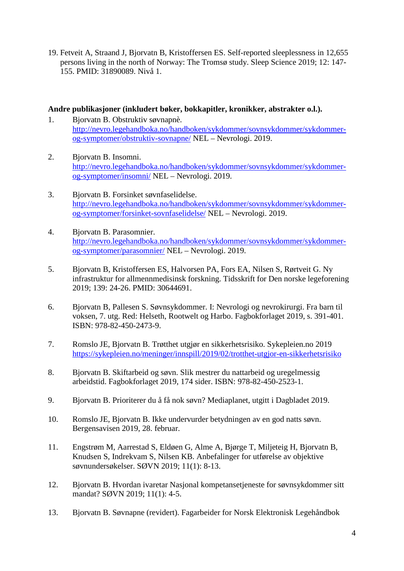19. Fetveit A, Straand J, Bjorvatn B, Kristoffersen ES. Self-reported sleeplessness in 12,655 persons living in the north of Norway: The Tromsø study. Sleep Science 2019; 12: 147- 155. PMID: 31890089. Nivå 1.

#### **Andre publikasjoner (inkludert bøker, bokkapitler, kronikker, abstrakter o.l.).**

- 1. Bjorvatn B. Obstruktiv søvnapnè. [http://nevro.legehandboka.no/handboken/sykdommer/sovnsykdommer/sykdommer](http://nevro.legehandboka.no/handboken/sykdommer/sovnsykdommer/sykdommer-og-symptomer/obstruktiv-sovnapne/)[og-symptomer/obstruktiv-sovnapne/](http://nevro.legehandboka.no/handboken/sykdommer/sovnsykdommer/sykdommer-og-symptomer/obstruktiv-sovnapne/) NEL – Nevrologi. 2019.
- 2. Bjorvatn B. Insomni. [http://nevro.legehandboka.no/handboken/sykdommer/sovnsykdommer/sykdommer](http://nevro.legehandboka.no/handboken/sykdommer/sovnsykdommer/sykdommer-og-symptomer/insomni/)[og-symptomer/insomni/](http://nevro.legehandboka.no/handboken/sykdommer/sovnsykdommer/sykdommer-og-symptomer/insomni/) NEL – Nevrologi. 2019.
- 3. Bjorvatn B. Forsinket søvnfaselidelse. [http://nevro.legehandboka.no/handboken/sykdommer/sovnsykdommer/sykdommer](http://nevro.legehandboka.no/handboken/sykdommer/sovnsykdommer/sykdommer-og-symptomer/forsinket-sovnfaselidelse/)[og-symptomer/forsinket-sovnfaselidelse/](http://nevro.legehandboka.no/handboken/sykdommer/sovnsykdommer/sykdommer-og-symptomer/forsinket-sovnfaselidelse/) NEL – Nevrologi. 2019.
- 4. Bjorvatn B. Parasomnier. [http://nevro.legehandboka.no/handboken/sykdommer/sovnsykdommer/sykdommer](http://nevro.legehandboka.no/handboken/sykdommer/sovnsykdommer/sykdommer-og-symptomer/parasomnier/)[og-symptomer/parasomnier/](http://nevro.legehandboka.no/handboken/sykdommer/sovnsykdommer/sykdommer-og-symptomer/parasomnier/) NEL – Nevrologi. 2019.
- 5. Bjorvatn B, Kristoffersen ES, Halvorsen PA, Fors EA, Nilsen S, Rørtveit G. Ny infrastruktur for allmennmedisinsk forskning. Tidsskrift for Den norske legeforening 2019; 139: 24-26. PMID: 30644691.
- 6. Bjorvatn B, Pallesen S. Søvnsykdommer. I: Nevrologi og nevrokirurgi. Fra barn til voksen, 7. utg. Red: Helseth, Rootwelt og Harbo. Fagbokforlaget 2019, s. 391-401. ISBN: 978-82-450-2473-9.
- 7. Romslo JE, Bjorvatn B. Trøtthet utgjør en sikkerhetsrisiko. Sykepleien.no 2019 <https://sykepleien.no/meninger/innspill/2019/02/trotthet-utgjor-en-sikkerhetsrisiko>
- 8. Bjorvatn B. Skiftarbeid og søvn. Slik mestrer du nattarbeid og uregelmessig arbeidstid. Fagbokforlaget 2019, 174 sider. ISBN: 978-82-450-2523-1.
- 9. Bjorvatn B. Prioriterer du å få nok søvn? Mediaplanet, utgitt i Dagbladet 2019.
- 10. Romslo JE, Bjorvatn B. Ikke undervurder betydningen av en god natts søvn. Bergensavisen 2019, 28. februar.
- 11. Engstrøm M, Aarrestad S, Eldøen G, Alme A, Bjørge T, Miljeteig H, Bjorvatn B, Knudsen S, Indrekvam S, Nilsen KB. Anbefalinger for utførelse av objektive søvnundersøkelser. SØVN 2019; 11(1): 8-13.
- 12. Bjorvatn B. Hvordan ivaretar Nasjonal kompetansetjeneste for søvnsykdommer sitt mandat? SØVN 2019; 11(1): 4-5.
- 13. Bjorvatn B. Søvnapne (revidert). Fagarbeider for Norsk Elektronisk Legehåndbok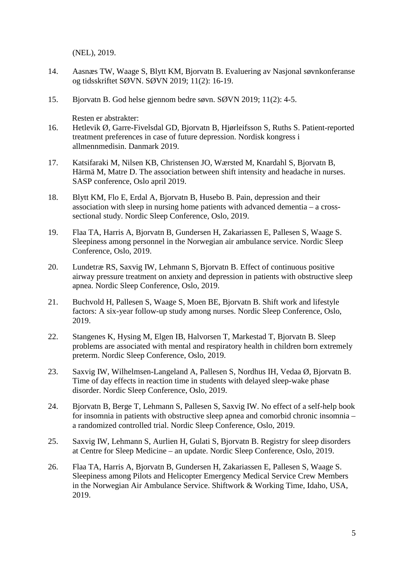(NEL), 2019.

- 14. Aasnæs TW, Waage S, Blytt KM, Bjorvatn B. Evaluering av Nasjonal søvnkonferanse og tidsskriftet SØVN. SØVN 2019; 11(2): 16-19.
- 15. Bjorvatn B. God helse gjennom bedre søvn. SØVN 2019; 11(2): 4-5.

Resten er abstrakter:

- 16. Hetlevik Ø, Garre-Fivelsdal GD, Bjorvatn B, Hjørleifsson S, Ruths S. Patient-reported treatment preferences in case of future depression. Nordisk kongress i allmennmedisin. Danmark 2019.
- 17. Katsifaraki M, Nilsen KB, Christensen JO, Wærsted M, Knardahl S, Bjorvatn B, Härmä M, Matre D. The association between shift intensity and headache in nurses. SASP conference, Oslo april 2019.
- 18. Blytt KM, Flo E, Erdal A, Bjorvatn B, Husebo B. Pain, depression and their association with sleep in nursing home patients with advanced dementia – a crosssectional study. Nordic Sleep Conference, Oslo, 2019.
- 19. Flaa TA, Harris A, Bjorvatn B, Gundersen H, Zakariassen E, Pallesen S, Waage S. Sleepiness among personnel in the Norwegian air ambulance service. Nordic Sleep Conference, Oslo, 2019.
- 20. Lundetræ RS, Saxvig IW, Lehmann S, Bjorvatn B. Effect of continuous positive airway pressure treatment on anxiety and depression in patients with obstructive sleep apnea. Nordic Sleep Conference, Oslo, 2019.
- 21. Buchvold H, Pallesen S, Waage S, Moen BE, Bjorvatn B. Shift work and lifestyle factors: A six-year follow-up study among nurses. Nordic Sleep Conference, Oslo, 2019.
- 22. Stangenes K, Hysing M, Elgen IB, Halvorsen T, Markestad T, Bjorvatn B. Sleep problems are associated with mental and respiratory health in children born extremely preterm. Nordic Sleep Conference, Oslo, 2019.
- 23. Saxvig IW, Wilhelmsen-Langeland A, Pallesen S, Nordhus IH, Vedaa Ø, Bjorvatn B. Time of day effects in reaction time in students with delayed sleep-wake phase disorder. Nordic Sleep Conference, Oslo, 2019.
- 24. Bjorvatn B, Berge T, Lehmann S, Pallesen S, Saxvig IW. No effect of a self-help book for insomnia in patients with obstructive sleep apnea and comorbid chronic insomnia – a randomized controlled trial. Nordic Sleep Conference, Oslo, 2019.
- 25. Saxvig IW, Lehmann S, Aurlien H, Gulati S, Bjorvatn B. Registry for sleep disorders at Centre for Sleep Medicine – an update. Nordic Sleep Conference, Oslo, 2019.
- 26. Flaa TA, Harris A, Bjorvatn B, Gundersen H, Zakariassen E, Pallesen S, Waage S. Sleepiness among Pilots and Helicopter Emergency Medical Service Crew Members in the Norwegian Air Ambulance Service. Shiftwork & Working Time, Idaho, USA, 2019.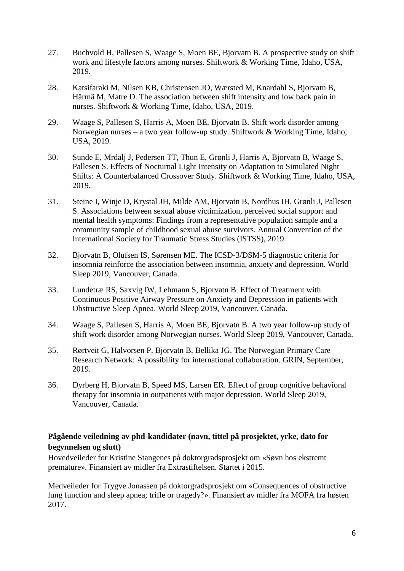- 27. Buchvold H, Pallesen S, Waage S, Moen BE, Bjorvatn B. A prospective study on shift work and lifestyle factors among nurses. Shiftwork & Working Time, Idaho, USA, 2019.
- 28. Katsifaraki M, Nilsen KB, Christensen JO, Wærsted M, Knardahl S, Bjorvatn B, Härmä M, Matre D. The association between shift intensity and low back pain in nurses. Shiftwork & Working Time, Idaho, USA, 2019.
- 29. Waage S, Pallesen S, Harris A, Moen BE, Bjorvatn B. Shift work disorder among Norwegian nurses – a two year follow-up study. Shiftwork & Working Time, Idaho, USA, 2019.
- 30. Sunde E, Mrdalj J, Pedersen TT, Thun E, Grønli J, Harris A, Bjorvatn B, Waage S, Pallesen S. Effects of Nocturnal Light Intensity on Adaptation to Simulated Night Shifts: A Counterbalanced Crossover Study. Shiftwork & Working Time, Idaho, USA, 2019.
- 31. Steine I, Winje D, Krystal JH, Milde AM, Bjorvatn B, Nordhus IH, Grønli J, Pallesen S. Associations between sexual abuse victimization, perceived social support and mental health symptoms: Findings from a representative population sample and a community sample of childhood sexual abuse survivors. Annual Convention of the International Society for Traumatic Stress Studies (ISTSS), 2019.
- 32. Bjorvatn B, Olufsen IS, Sørensen ME. The ICSD-3/DSM-5 diagnostic criteria for insomnia reinforce the association between insomnia, anxiety and depression. World Sleep 2019, Vancouver, Canada.
- 33. Lundetræ RS, Saxvig IW, Lehmann S, Bjorvatn B. Effect of Treatment with Continuous Positive Airway Pressure on Anxiety and Depression in patients with Obstructive Sleep Apnea. World Sleep 2019, Vancouver, Canada.
- 34. Waage S, Pallesen S, Harris A, Moen BE, Bjorvatn B. A two year follow-up study of shift work disorder among Norwegian nurses. World Sleep 2019, Vancouver, Canada.
- 35. Rørtveit G, Halvorsen P, Bjorvatn B, Bellika JG. The Norwegian Primary Care Research Network: A possibility for international collaboration. GRIN, September, 2019.
- 36. Dyrberg H, Bjorvatn B, Speed MS, Larsen ER. Effect of group cognitive behavioral therapy for insomnia in outpatients with major depression. World Sleep 2019, Vancouver, Canada.

#### **Pågående veiledning av phd-kandidater (navn, tittel på prosjektet, yrke, dato for begynnelsen og slutt)**

Hovedveileder for Kristine Stangenes på doktorgradsprosjekt om «Søvn hos ekstremt premature». Finansiert av midler fra Extrastiftelsen. Startet i 2015.

Medveileder for Trygve Jonassen på doktorgradsprosjekt om «Consequences of obstructive lung function and sleep apnea; trifle or tragedy?». Finansiert av midler fra MOFA fra høsten 2017.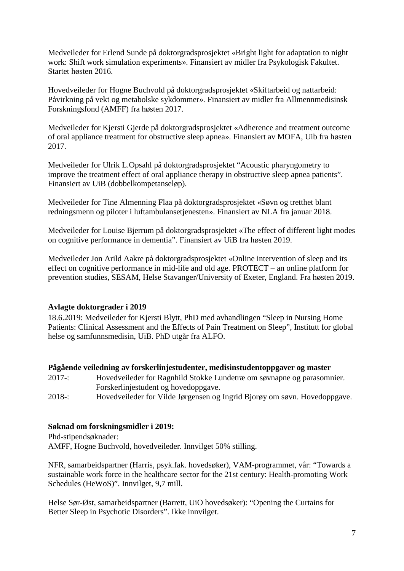Medveileder for Erlend Sunde på doktorgradsprosjektet «Bright light for adaptation to night work: Shift work simulation experiments». Finansiert av midler fra Psykologisk Fakultet. Startet høsten 2016.

Hovedveileder for Hogne Buchvold på doktorgradsprosjektet «Skiftarbeid og nattarbeid: Påvirkning på vekt og metabolske sykdommer». Finansiert av midler fra Allmennmedisinsk Forskningsfond (AMFF) fra høsten 2017.

Medveileder for Kjersti Gjerde på doktorgradsprosjektet «Adherence and treatment outcome of oral appliance treatment for obstructive sleep apnea». Finansiert av MOFA, Uib fra høsten 2017.

Medveileder for Ulrik L.Opsahl på doktorgradsprosjektet "Acoustic pharyngometry to improve the treatment effect of oral appliance therapy in obstructive sleep apnea patients". Finansiert av UiB (dobbelkompetanseløp).

Medveileder for Tine Almenning Flaa på doktorgradsprosjektet «Søvn og tretthet blant redningsmenn og piloter i luftambulansetjenesten». Finansiert av NLA fra januar 2018.

Medveileder for Louise Bjerrum på doktorgradsprosjektet «The effect of different light modes on cognitive performance in dementia". Finansiert av UiB fra høsten 2019.

Medveileder Jon Arild Aakre på doktorgradsprosjektet «Online intervention of sleep and its effect on cognitive performance in mid-life and old age. PROTECT – an online platform for prevention studies, SESAM, Helse Stavanger/University of Exeter, England. Fra høsten 2019.

#### **Avlagte doktorgrader i 2019**

18.6.2019: Medveileder for Kjersti Blytt, PhD med avhandlingen "Sleep in Nursing Home Patients: Clinical Assessment and the Effects of Pain Treatment on Sleep", Institutt for global helse og samfunnsmedisin, UiB. PhD utgår fra ALFO.

#### **Pågående veiledning av forskerlinjestudenter, medisinstudentoppgaver og master**

- 2017-: Hovedveileder for Ragnhild Stokke Lundetræ om søvnapne og parasomnier. Forskerlinjestudent og hovedoppgave.
- 2018-: Hovedveileder for Vilde Jørgensen og Ingrid Bjorøy om søvn. Hovedoppgave.

#### **Søknad om forskningsmidler i 2019:**

Phd-stipendsøknader: AMFF, Hogne Buchvold, hovedveileder. Innvilget 50% stilling.

NFR, samarbeidspartner (Harris, psyk.fak. hovedsøker), VAM-programmet, vår: "Towards a sustainable work force in the healthcare sector for the 21st century: Health-promoting Work Schedules (HeWoS)". Innvilget, 9,7 mill.

Helse Sør-Øst, samarbeidspartner (Barrett, UiO hovedsøker): "Opening the Curtains for Better Sleep in Psychotic Disorders". Ikke innvilget.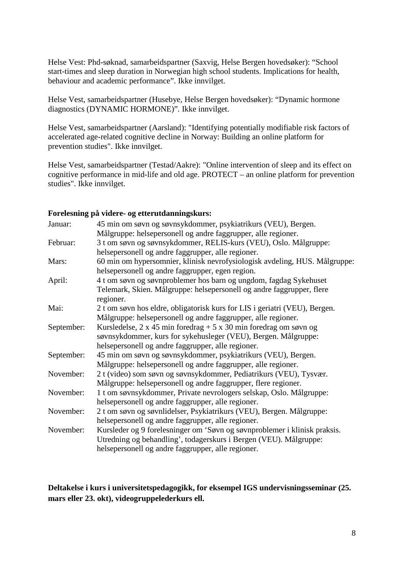Helse Vest: Phd-søknad, samarbeidspartner (Saxvig, Helse Bergen hovedsøker): "School start-times and sleep duration in Norwegian high school students. Implications for health, behaviour and academic performance". Ikke innvilget.

Helse Vest, samarbeidspartner (Husebye, Helse Bergen hovedsøker): "Dynamic hormone diagnostics (DYNAMIC HORMONE)". Ikke innvilget.

Helse Vest, samarbeidspartner (Aarsland): "Identifying potentially modifiable risk factors of accelerated age-related cognitive decline in Norway: Building an online platform for prevention studies". Ikke innvilget.

Helse Vest, samarbeidspartner (Testad/Aakre): "Online intervention of sleep and its effect on cognitive performance in mid-life and old age. PROTECT – an online platform for prevention studies". Ikke innvilget.

#### **Forelesning på videre- og etterutdanningskurs:**

| Januar:    | 45 min om søvn og søvnsykdommer, psykiatrikurs (VEU), Bergen.                                                                  |
|------------|--------------------------------------------------------------------------------------------------------------------------------|
|            | Målgruppe: helsepersonell og andre faggrupper, alle regioner.                                                                  |
| Februar:   | 3 t om søvn og søvnsykdommer, RELIS-kurs (VEU), Oslo. Målgruppe:                                                               |
|            | helsepersonell og andre faggrupper, alle regioner.                                                                             |
| Mars:      | 60 min om hypersomnier, klinisk nevrofysiologisk avdeling, HUS. Målgruppe:<br>helsepersonell og andre faggrupper, egen region. |
| April:     | 4 t om søvn og søvnproblemer hos barn og ungdom, fagdag Sykehuset                                                              |
|            | Telemark, Skien. Målgruppe: helsepersonell og andre faggrupper, flere<br>regioner.                                             |
| Mai:       | 2 t om søvn hos eldre, obligatorisk kurs for LIS i geriatri (VEU), Bergen.                                                     |
|            | Målgruppe: helsepersonell og andre faggrupper, alle regioner.                                                                  |
| September: | Kursledelse, $2 \times 45$ min foredrag + $5 \times 30$ min foredrag om søvn og                                                |
|            | søvnsykdommer, kurs for sykehusleger (VEU), Bergen. Målgruppe:                                                                 |
|            | helsepersonell og andre faggrupper, alle regioner.                                                                             |
| September: | 45 min om søvn og søvnsykdommer, psykiatrikurs (VEU), Bergen.                                                                  |
|            | Målgruppe: helsepersonell og andre faggrupper, alle regioner.                                                                  |
| November:  | 2 t (video) som søvn og søvnsykdommer, Pediatrikurs (VEU), Tysvær.                                                             |
|            | Målgruppe: helsepersonell og andre faggrupper, flere regioner.                                                                 |
| November:  | 1 t om søvnsykdommer, Private nevrologers selskap, Oslo. Målgruppe:                                                            |
|            | helsepersonell og andre faggrupper, alle regioner.                                                                             |
| November:  | 2 t om søvn og søvnlidelser, Psykiatrikurs (VEU), Bergen. Målgruppe:                                                           |
|            | helsepersonell og andre faggrupper, alle regioner.                                                                             |
| November:  | Kursleder og 9 forelesninger om 'Søvn og søvnproblemer i klinisk praksis.                                                      |
|            | Utredning og behandling', todagerskurs i Bergen (VEU). Målgruppe:                                                              |
|            | helsepersonell og andre faggrupper, alle regioner.                                                                             |
|            |                                                                                                                                |

**Deltakelse i kurs i universitetspedagogikk, for eksempel IGS undervisningsseminar (25. mars eller 23. okt), videogruppelederkurs ell.**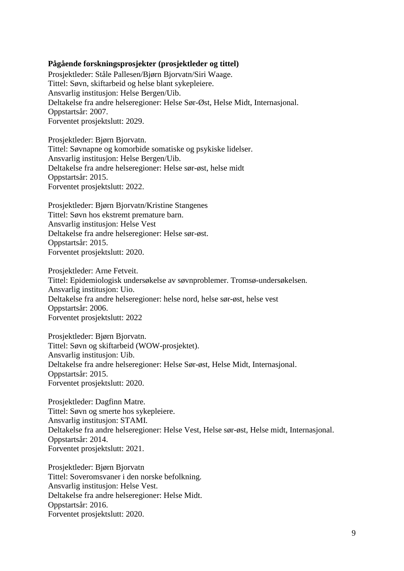#### **Pågående forskningsprosjekter (prosjektleder og tittel)**

Prosjektleder: Ståle Pallesen/Bjørn Bjorvatn/Siri Waage. Tittel: Søvn, skiftarbeid og helse blant sykepleiere. Ansvarlig institusjon: Helse Bergen/Uib. Deltakelse fra andre helseregioner: Helse Sør-Øst, Helse Midt, Internasjonal. Oppstartsår: 2007. Forventet prosjektslutt: 2029.

Prosjektleder: Bjørn Bjorvatn. Tittel: Søvnapne og komorbide somatiske og psykiske lidelser. Ansvarlig institusjon: Helse Bergen/Uib. Deltakelse fra andre helseregioner: Helse sør-øst, helse midt Oppstartsår: 2015. Forventet prosjektslutt: 2022.

Prosjektleder: Bjørn Bjorvatn/Kristine Stangenes Tittel: Søvn hos ekstremt premature barn. Ansvarlig institusjon: Helse Vest Deltakelse fra andre helseregioner: Helse sør-øst. Oppstartsår: 2015. Forventet prosjektslutt: 2020.

Prosjektleder: Arne Fetveit. Tittel: Epidemiologisk undersøkelse av søvnproblemer. Tromsø-undersøkelsen. Ansvarlig institusjon: Uio. Deltakelse fra andre helseregioner: helse nord, helse sør-øst, helse vest Oppstartsår: 2006. Forventet prosjektslutt: 2022

Prosjektleder: Bjørn Bjorvatn. Tittel: Søvn og skiftarbeid (WOW-prosjektet). Ansvarlig institusjon: Uib. Deltakelse fra andre helseregioner: Helse Sør-øst, Helse Midt, Internasjonal. Oppstartsår: 2015. Forventet prosjektslutt: 2020.

Prosjektleder: Dagfinn Matre. Tittel: Søvn og smerte hos sykepleiere. Ansvarlig institusjon: STAMI. Deltakelse fra andre helseregioner: Helse Vest, Helse sør-øst, Helse midt, Internasjonal. Oppstartsår: 2014. Forventet prosjektslutt: 2021.

Prosjektleder: Bjørn Bjorvatn Tittel: Soveromsvaner i den norske befolkning. Ansvarlig institusjon: Helse Vest. Deltakelse fra andre helseregioner: Helse Midt. Oppstartsår: 2016. Forventet prosjektslutt: 2020.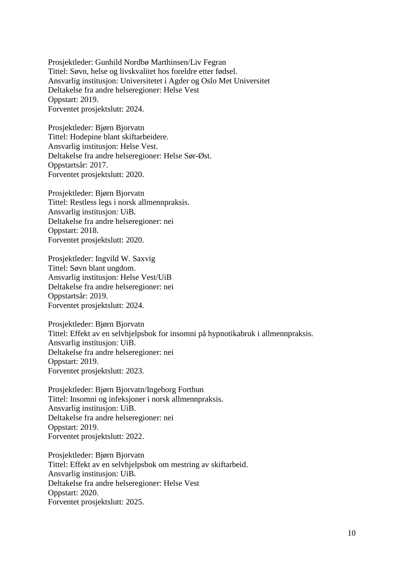Prosjektleder: Gunhild Nordbø Marthinsen/Liv Fegran Tittel: Søvn, helse og livskvalitet hos foreldre etter fødsel. Ansvarlig institusjon: Universitetet i Agder og Oslo Met Universitet Deltakelse fra andre helseregioner: Helse Vest Oppstart: 2019. Forventet prosjektslutt: 2024.

Prosjektleder: Bjørn Bjorvatn Tittel: Hodepine blant skiftarbeidere. Ansvarlig institusjon: Helse Vest. Deltakelse fra andre helseregioner: Helse Sør-Øst. Oppstartsår: 2017. Forventet prosjektslutt: 2020.

Prosjektleder: Bjørn Bjorvatn Tittel: Restless legs i norsk allmennpraksis. Ansvarlig institusjon: UiB. Deltakelse fra andre helseregioner: nei Oppstart: 2018. Forventet prosjektslutt: 2020.

Prosjektleder: Ingvild W. Saxvig Tittel: Søvn blant ungdom. Ansvarlig institusjon: Helse Vest/UiB Deltakelse fra andre helseregioner: nei Oppstartsår: 2019. Forventet prosjektslutt: 2024.

Prosjektleder: Bjørn Bjorvatn Tittel: Effekt av en selvhjelpsbok for insomni på hypnotikabruk i allmennpraksis. Ansvarlig institusjon: UiB. Deltakelse fra andre helseregioner: nei Oppstart: 2019. Forventet prosjektslutt: 2023.

Prosjektleder: Bjørn Bjorvatn/Ingeborg Forthun Tittel: Insomni og infeksjoner i norsk allmennpraksis. Ansvarlig institusjon: UiB. Deltakelse fra andre helseregioner: nei Oppstart: 2019. Forventet prosjektslutt: 2022.

Prosjektleder: Bjørn Bjorvatn Tittel: Effekt av en selvhjelpsbok om mestring av skiftarbeid. Ansvarlig institusjon: UiB. Deltakelse fra andre helseregioner: Helse Vest Oppstart: 2020. Forventet prosjektslutt: 2025.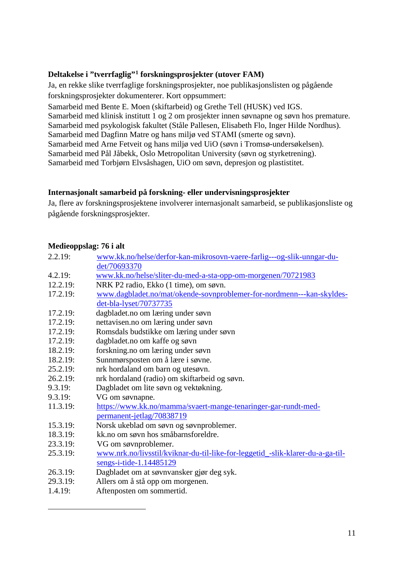#### **Deltakelse i "tverrfaglig"[1](#page-10-0) forskningsprosjekter (utover FAM)**

Ja, en rekke slike tverrfaglige forskningsprosjekter, noe publikasjonslisten og pågående forskningsprosjekter dokumenterer. Kort oppsummert:

Samarbeid med Bente E. Moen (skiftarbeid) og Grethe Tell (HUSK) ved IGS. Samarbeid med klinisk institutt 1 og 2 om prosjekter innen søvnapne og søvn hos premature. Samarbeid med psykologisk fakultet (Ståle Pallesen, Elisabeth Flo, Inger Hilde Nordhus). Samarbeid med Dagfinn Matre og hans miljø ved STAMI (smerte og søvn). Samarbeid med Arne Fetveit og hans miljø ved UiO (søvn i Tromsø-undersøkelsen). Samarbeid med Pål Jåbekk, Oslo Metropolitan University (søvn og styrketrening). Samarbeid med Torbjørn Elvsåshagen, UiO om søvn, depresjon og plastistitet.

#### **Internasjonalt samarbeid på forskning- eller undervisningsprosjekter**

Ja, flere av forskningsprosjektene involverer internasjonalt samarbeid, se publikasjonsliste og pågående forskningsprosjekter.

#### **Medieoppslag: 76 i alt**

<span id="page-10-0"></span> $\overline{a}$ 

| 2.2.19:  | www.kk.no/helse/derfor-kan-mikrosovn-vaere-farlig---og-slik-unngar-du-         |
|----------|--------------------------------------------------------------------------------|
|          | det/70693370                                                                   |
| 4.2.19:  | www.kk.no/helse/sliter-du-med-a-sta-opp-om-morgenen/70721983                   |
| 12.2.19: | NRK P2 radio, Ekko (1 time), om søvn.                                          |
| 17.2.19: | www.dagbladet.no/mat/okende-sovnproblemer-for-nordmenn---kan-skyldes-          |
|          | det-bla-lyset/70737735                                                         |
| 17.2.19: | dagbladet.no om læring under søvn                                              |
| 17.2.19: | nettavisen.no om læring under søvn                                             |
| 17.2.19: | Romsdals budstikke om læring under søvn                                        |
| 17.2.19: | dagbladet.no om kaffe og søvn                                                  |
| 18.2.19: | forskning.no om læring under søvn                                              |
| 18.2.19: | Sunnmørsposten om å lære i søvne.                                              |
| 25.2.19: | nrk hordaland om barn og utesøvn.                                              |
| 26.2.19: | nrk hordaland (radio) om skiftarbeid og søvn.                                  |
| 9.3.19:  | Dagbladet om lite søvn og vektøkning.                                          |
| 9.3.19:  | VG om søvnapne.                                                                |
| 11.3.19: | https://www.kk.no/mamma/svaert-mange-tenaringer-gar-rundt-med-                 |
|          | permanent-jetlag/70838719                                                      |
| 15.3.19: | Norsk ukeblad om søvn og søvnproblemer.                                        |
| 18.3.19: | kk.no om søvn hos småbarnsforeldre.                                            |
| 23.3.19: | VG om søvnproblemer.                                                           |
| 25.3.19: | www.nrk.no/livsstil/kviknar-du-til-like-for-leggetid_-slik-klarer-du-a-ga-til- |
|          | sengs-i-tide-1.14485129                                                        |
| 26.3.19: | Dagbladet om at søvnvansker gjør deg syk.                                      |
| 29.3.19: | Allers om å stå opp om morgenen.                                               |
| 1.4.19:  | Aftenposten om sommertid.                                                      |
|          |                                                                                |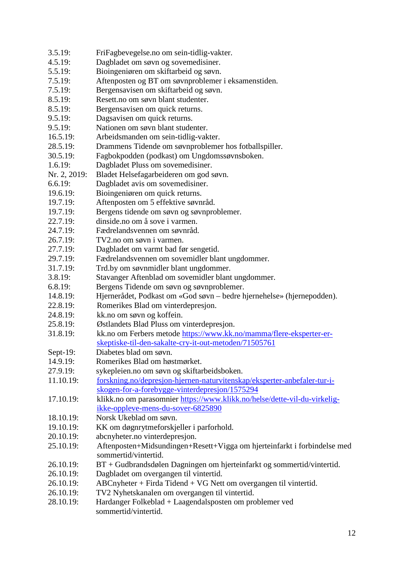- 3.5.19: FriFagbevegelse.no om sein-tidlig-vakter.
- 4.5.19: Dagbladet om søvn og sovemedisiner.
- 5.5.19: Bioingeniøren om skiftarbeid og søvn.
- 7.5.19: Aftenposten og BT om søvnproblemer i eksamenstiden.
- 7.5.19: Bergensavisen om skiftarbeid og søvn.
- 8.5.19: Resett.no om søvn blant studenter.
- 8.5.19: Bergensavisen om quick returns.
- 9.5.19: Dagsavisen om quick returns.
- 9.5.19: Nationen om søvn blant studenter.
- 16.5.19: Arbeidsmanden om sein-tidlig-vakter.
- 28.5.19: Drammens Tidende om søvnproblemer hos fotballspiller.
- 30.5.19: Fagbokpodden (podkast) om Ungdomssøvnsboken.
- 1.6.19: Dagbladet Pluss om sovemedisiner.
- Nr. 2, 2019: Bladet Helsefagarbeideren om god søvn.
- 6.6.19: Dagbladet avis om sovemedisiner.
- 19.6.19: Bioingeniøren om quick returns.
- 19.7.19: Aftenposten om 5 effektive søvnråd.
- 19.7.19: Bergens tidende om søvn og søvnproblemer.
- 22.7.19: dinside.no om å sove i varmen.
- 24.7.19: Fædrelandsvennen om søvnråd.
- 26.7.19: TV2.no om søvn i varmen.
- 27.7.19: Dagbladet om varmt bad før sengetid.
- 29.7.19: Fædrelandsvennen om sovemidler blant ungdommer.
- 31.7.19: Trd.by om søvnmidler blant ungdommer.
- 3.8.19: Stavanger Aftenblad om sovemidler blant ungdommer.
- 6.8.19: Bergens Tidende om søvn og søvnproblemer.
- 14.8.19: Hjernerådet, Podkast om «God søvn bedre hjernehelse» (hjernepodden).
- 22.8.19: Romerikes Blad om vinterdepresjon.
- 24.8.19: kk.no om søvn og koffein.
- 25.8.19: Østlandets Blad Pluss om vinterdepresjon.
- 31.8.19: kk.no om Ferbers metode [https://www.kk.no/mamma/flere-eksperter-er](https://www.kk.no/mamma/flere-eksperter-er-skeptiske-til-den-sakalte-cry-it-out-metoden/71505761)[skeptiske-til-den-sakalte-cry-it-out-metoden/71505761](https://www.kk.no/mamma/flere-eksperter-er-skeptiske-til-den-sakalte-cry-it-out-metoden/71505761)
- Sept-19: Diabetes blad om søvn.
- 14.9.19: Romerikes Blad om høstmørket.
- 27.9.19: sykepleien.no om søvn og skiftarbeidsboken.
- 11.10.19: [forskning.no/depresjon-hjernen-naturvitenskap/eksperter-anbefaler-tur-i](https://forskning.no/depresjon-hjernen-naturvitenskap/eksperter-anbefaler-tur-i-skogen-for-a-forebygge-vinterdepresjon/1575294)[skogen-for-a-forebygge-vinterdepresjon/1575294](https://forskning.no/depresjon-hjernen-naturvitenskap/eksperter-anbefaler-tur-i-skogen-for-a-forebygge-vinterdepresjon/1575294)
- 17.10.19: klikk.no om parasomnier [https://www.klikk.no/helse/dette-vil-du-virkelig](https://www.klikk.no/helse/dette-vil-du-virkelig-ikke-oppleve-mens-du-sover-6825890)[ikke-oppleve-mens-du-sover-6825890](https://www.klikk.no/helse/dette-vil-du-virkelig-ikke-oppleve-mens-du-sover-6825890)
- 18.10.19: Norsk Ukeblad om søvn.
- 19.10.19: KK om døgnrytmeforskjeller i parforhold.
- 20.10.19: abcnyheter.no vinterdepresjon.
- 25.10.19: Aftenposten+Midsundingen+Resett+Vigga om hjerteinfarkt i forbindelse med sommertid/vintertid.
- 26.10.19: BT + Gudbrandsdølen Dagningen om hjerteinfarkt og sommertid/vintertid.
- 26.10.19: Dagbladet om overgangen til vintertid.
- 26.10.19: ABCnyheter + Firda Tidend + VG Nett om overgangen til vintertid.
- 26.10.19: TV2 Nyhetskanalen om overgangen til vintertid.
- 28.10.19: Hardanger Folkeblad + Laagendalsposten om problemer ved sommertid/vintertid.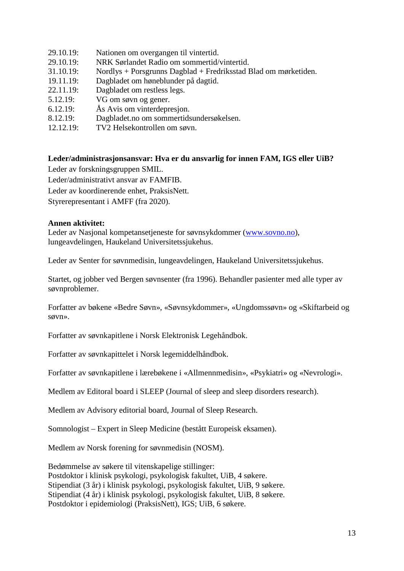- 29.10.19: Nationen om overgangen til vintertid. 29.10.19: NRK Sørlandet Radio om sommertid/vintertid. 31.10.19: Nordlys + Porsgrunns Dagblad + Fredriksstad Blad om mørketiden. 19.11.19: Dagbladet om høneblunder på dagtid. 22.11.19: Dagbladet om restless legs. 5.12.19: VG om søvn og gener. 6.12.19: Ås Avis om vinterdepresjon. 8.12.19: Dagbladet.no om sommertidsundersøkelsen.
- 
- 12.12.19: TV2 Helsekontrollen om søvn.

#### **Leder/administrasjonsansvar: Hva er du ansvarlig for innen FAM, IGS eller UiB?**

Leder av forskningsgruppen SMIL.

Leder/administrativt ansvar av FAMFIB.

Leder av koordinerende enhet, PraksisNett.

Styrerepresentant i AMFF (fra 2020).

#### **Annen aktivitet:**

Leder av Nasjonal kompetansetjeneste for søvnsykdommer [\(www.sovno.no\)](http://www.sovno.no/), lungeavdelingen, Haukeland Universitetssjukehus.

Leder av Senter for søvnmedisin, lungeavdelingen, Haukeland Universitetssjukehus.

Startet, og jobber ved Bergen søvnsenter (fra 1996). Behandler pasienter med alle typer av søvnproblemer.

Forfatter av bøkene «Bedre Søvn», «Søvnsykdommer», «Ungdomssøvn» og «Skiftarbeid og søvn».

Forfatter av søvnkapitlene i Norsk Elektronisk Legehåndbok.

Forfatter av søvnkapittelet i Norsk legemiddelhåndbok.

Forfatter av søvnkapitlene i lærebøkene i «Allmennmedisin», «Psykiatri» og «Nevrologi».

Medlem av Editoral board i SLEEP (Journal of sleep and sleep disorders research).

Medlem av Advisory editorial board, Journal of Sleep Research.

Somnologist – Expert in Sleep Medicine (bestått Europeisk eksamen).

Medlem av Norsk forening for søvnmedisin (NOSM).

Bedømmelse av søkere til vitenskapelige stillinger: Postdoktor i klinisk psykologi, psykologisk fakultet, UiB, 4 søkere. Stipendiat (3 år) i klinisk psykologi, psykologisk fakultet, UiB, 9 søkere. Stipendiat (4 år) i klinisk psykologi, psykologisk fakultet, UiB, 8 søkere. Postdoktor i epidemiologi (PraksisNett), IGS; UiB, 6 søkere.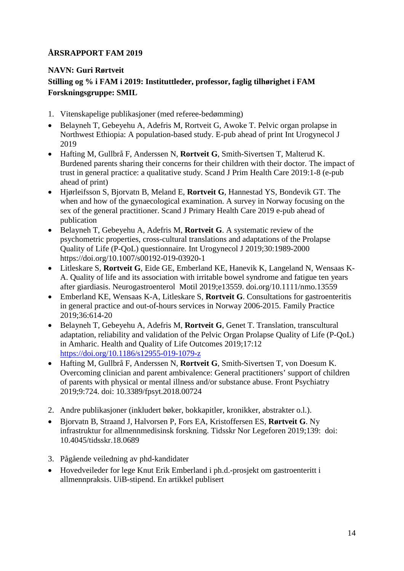## <span id="page-13-0"></span>**NAVN: Guri Rørtveit Stilling og % i FAM i 2019: Instituttleder, professor, faglig tilhørighet i FAM Forskningsgruppe: SMIL**

- 1. Vitenskapelige publikasjoner (med referee-bedømming)
- Belayneh T, Gebeyehu A, Adefris M, Rortveit G, Awoke T. Pelvic organ prolapse in Northwest Ethiopia: A population-based study. E-pub ahead of print Int Urogynecol J 2019
- Hafting M, Gullbrå F, Anderssen N, **Rortveit G**, Smith-Sivertsen T, Malterud K. Burdened parents sharing their concerns for their children with their doctor. The impact of trust in general practice: a qualitative study. Scand J Prim Health Care 2019:1-8 (e-pub ahead of print)
- Hjørleifsson S, Bjorvatn B, Meland E, **Rortveit G**, Hannestad YS, Bondevik GT. The when and how of the gynaecological examination. A survey in Norway focusing on the sex of the general practitioner. Scand J Primary Health Care 2019 e-pub ahead of publication
- Belayneh T, Gebeyehu A, Adefris M, **Rortveit G**. A systematic review of the psychometric properties, cross-cultural translations and adaptations of the Prolapse Quality of Life (P-QoL) questionnaire. Int Urogynecol J 2019;30:1989-2000 https://doi.org/10.1007/s00192-019-03920-1
- Litleskare S, **Rortveit G**, Eide GE, Emberland KE, Hanevik K, Langeland N, Wensaas K-A. Quality of life and its association with irritable bowel syndrome and fatigue ten years after giardiasis. Neurogastroenterol Motil 2019;e13559. doi.org/10.1111/nmo.13559
- Emberland KE, Wensaas K-A, Litleskare S, **Rortveit G**. Consultations for gastroenteritis in general practice and out-of-hours services in Norway 2006-2015. Family Practice 2019;36:614-20
- Belayneh T, Gebeyehu A, Adefris M, **Rortveit G**, Genet T. Translation, transcultural adaptation, reliability and validation of the Pelvic Organ Prolapse Quality of Life (P-QoL) in Amharic. Health and Quality of Life Outcomes 2019;17:12 <https://doi.org/10.1186/s12955-019-1079-z>
- Hafting M, Gullbrå F, Anderssen N, **Rortveit G**, Smith-Sivertsen T, von Doesum K. Overcoming clinician and parent ambivalence: General practitioners' support of children of parents with physical or mental illness and/or substance abuse. Front Psychiatry 2019;9:724. doi: 10.3389/fpsyt.2018.00724
- 2. Andre publikasjoner (inkludert bøker, bokkapitler, kronikker, abstrakter o.l.).
- Bjorvatn B, Straand J, Halvorsen P, Fors EA, Kristoffersen ES, **Rørtveit G**. Ny infrastruktur for allmennmedisinsk forskning. Tidsskr Nor Legeforen 2019;139: doi: 10.4045/tidsskr.18.0689
- 3. Pågående veiledning av phd-kandidater
- Hovedveileder for lege Knut Erik Emberland i ph.d.-prosjekt om gastroenteritt i allmennpraksis. UiB-stipend. En artikkel publisert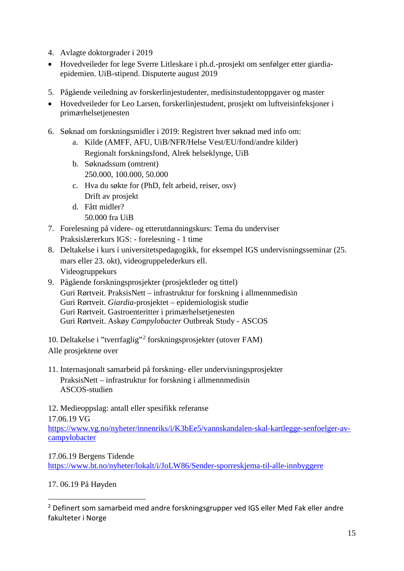- 4. Avlagte doktorgrader i 2019
- Hovedveileder for lege Sverre Litleskare i ph.d.-prosjekt om senfølger etter giardiaepidemien. UiB-stipend. Disputerte august 2019
- 5. Pågående veiledning av forskerlinjestudenter, medisinstudentoppgaver og master
- Hovedveileder for Leo Larsen, forskerlinjestudent, prosjekt om luftveisinfeksjoner i primærhelsetjenesten
- 6. Søknad om forskningsmidler i 2019: Registrert hver søknad med info om:
	- a. Kilde (AMFF, AFU, UiB/NFR/Helse Vest/EU/fond/andre kilder) Regionalt forskningsfond, Alrek helseklynge, UiB
	- b. Søknadssum (omtrent) 250.000, 100.000, 50.000
	- c. Hva du søkte for (PhD, felt arbeid, reiser, osv) Drift av prosjekt
	- d. Fått midler? 50.000 fra UiB
- 7. Forelesning på videre- og etterutdanningskurs: Tema du underviser Praksislærerkurs IGS: - forelesning - 1 time
- 8. Deltakelse i kurs i universitetspedagogikk, for eksempel IGS undervisningsseminar (25. mars eller 23. okt), videogruppelederkurs ell. Videogruppekurs
- 9. Pågående forskningsprosjekter (prosjektleder og tittel) Guri Rørtveit. PraksisNett – infrastruktur for forskning i allmennmedisin Guri Rørtveit. *Giardia*-prosjektet – epidemiologisk studie Guri Rørtveit. Gastroenteritter i primærhelsetjenesten Guri Rørtveit. Askøy *Campylobacter* Outbreak Study - ASCOS

10. Deltakelse i "tverrfaglig"[2](#page-14-0) forskningsprosjekter (utover FAM) Alle prosjektene over

11. Internasjonalt samarbeid på forskning- eller undervisningsprosjekter PraksisNett – infrastruktur for forskning i allmennmedisin ASCOS-studien

12. Medieoppslag: antall eller spesifikk referanse

17.06.19 VG

 $\overline{a}$ 

[https://www.vg.no/nyheter/innenriks/i/K3bEe5/vannskandalen-skal-kartlegge-senfoelger-av](https://www.vg.no/nyheter/innenriks/i/K3bEe5/vannskandalen-skal-kartlegge-senfoelger-av-campylobacter)[campylobacter](https://www.vg.no/nyheter/innenriks/i/K3bEe5/vannskandalen-skal-kartlegge-senfoelger-av-campylobacter)

17.06.19 Bergens Tidende

<https://www.bt.no/nyheter/lokalt/i/JoLW86/Sender-sporreskjema-til-alle-innbyggere>

#### 17. 06.19 På Høyden

<span id="page-14-0"></span><sup>&</sup>lt;sup>2</sup> Definert som samarbeid med andre forskningsgrupper ved IGS eller Med Fak eller andre fakulteter i Norge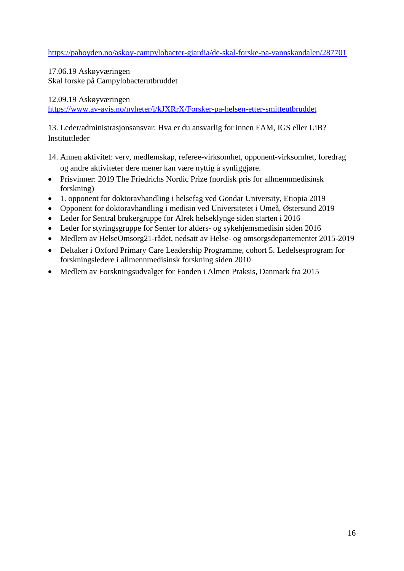<https://pahoyden.no/askoy-campylobacter-giardia/de-skal-forske-pa-vannskandalen/287701>

17.06.19 Askøyværingen Skal forske på Campylobacterutbruddet

#### 12.09.19 Askøyværingen

<https://www.av-avis.no/nyheter/i/kJXRrX/Forsker-pa-helsen-etter-smitteutbruddet>

13. Leder/administrasjonsansvar: Hva er du ansvarlig for innen FAM, IGS eller UiB? **Instituttleder** 

- 14. Annen aktivitet: verv, medlemskap, referee-virksomhet, opponent-virksomhet, foredrag og andre aktiviteter dere mener kan være nyttig å synliggjøre.
- Prisvinner: 2019 The Friedrichs Nordic Prize (nordisk pris for allmennmedisinsk forskning)
- 1. opponent for doktoravhandling i helsefag ved Gondar University, Etiopia 2019
- Opponent for doktoravhandling i medisin ved Universitetet i Umeå, Østersund 2019
- Leder for Sentral brukergruppe for Alrek helseklynge siden starten i 2016
- Leder for styringsgruppe for Senter for alders- og sykehjemsmedisin siden 2016
- Medlem av HelseOmsorg21-rådet, nedsatt av Helse- og omsorgsdepartementet 2015-2019
- Deltaker i Oxford Primary Care Leadership Programme, cohort 5. Ledelsesprogram for forskningsledere i allmennmedisinsk forskning siden 2010
- Medlem av Forskningsudvalget for Fonden i Almen Praksis, Danmark fra 2015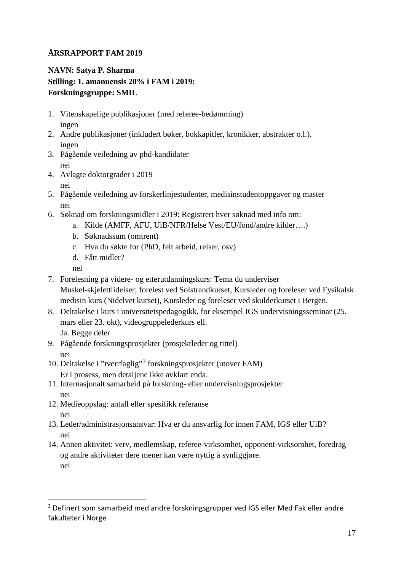<span id="page-16-0"></span>**NAVN: Satya P. Sharma Stilling: 1. amanuensis 20% i FAM i 2019: Forskningsgruppe: SMIL**

- 1. Vitenskapelige publikasjoner (med referee-bedømming) ingen
- 2. Andre publikasjoner (inkludert bøker, bokkapitler, kronikker, abstrakter o.l.). ingen
- 3. Pågående veiledning av phd-kandidater nei
- 4. Avlagte doktorgrader i 2019 nei
- 5. Pågående veiledning av forskerlinjestudenter, medisinstudentoppgaver og master nei
- 6. Søknad om forskningsmidler i 2019: Registrert hver søknad med info om:
	- a. Kilde (AMFF, AFU, UiB/NFR/Helse Vest/EU/fond/andre kilder….)
	- b. Søknadssum (omtrent)
	- c. Hva du søkte for (PhD, felt arbeid, reiser, osv)
	- d. Fått midler?

nei

- 7. Forelesning på videre- og etterutdanningskurs: Tema du underviser Muskel-skjelettlidelser; forelest ved Solstrandkurset, Kursleder og foreleser ved Fysikalsk medisin kurs (Nidelvet kurset), Kursleder og foreleser ved skulderkurset i Bergen.
- 8. Deltakelse i kurs i universitetspedagogikk, for eksempel IGS undervisningsseminar (25. mars eller 23. okt), videogruppelederkurs ell.

Ja. Begge deler

 $\overline{a}$ 

- 9. Pågående forskningsprosjekter (prosjektleder og tittel) nei
- 10. Deltakelse i "tverrfaglig"[3](#page-16-1) forskningsprosjekter (utover FAM) Er i prosess, men detaljene ikke avklart enda.
- 11. Internasjonalt samarbeid på forskning- eller undervisningsprosjekter nei
- 12. Medieoppslag: antall eller spesifikk referanse nei
- 13. Leder/administrasjonsansvar: Hva er du ansvarlig for innen FAM, IGS eller UiB? nei
- 14. Annen aktivitet: verv, medlemskap, referee-virksomhet, opponent-virksomhet, foredrag og andre aktiviteter dere mener kan være nyttig å synliggjøre. nei

<span id="page-16-1"></span><sup>3</sup> Definert som samarbeid med andre forskningsgrupper ved IGS eller Med Fak eller andre fakulteter i Norge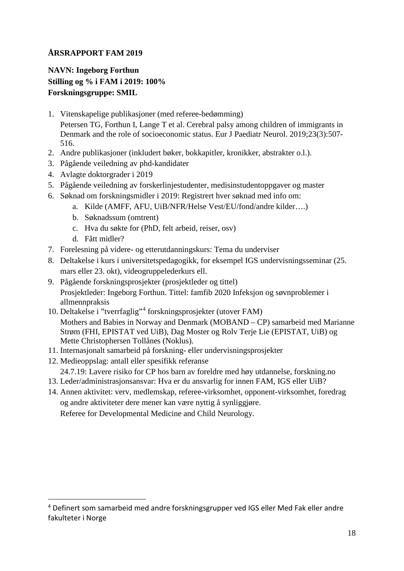<span id="page-17-0"></span>**NAVN: Ingeborg Forthun Stilling og % i FAM i 2019: 100% Forskningsgruppe: SMIL**

- 1. Vitenskapelige publikasjoner (med referee-bedømming) Petersen TG, Forthun I, Lange T et al. Cerebral palsy among children of immigrants in Denmark and the role of socioeconomic status. Eur J Paediatr Neurol. 2019;23(3):507- 516.
- 2. Andre publikasjoner (inkludert bøker, bokkapitler, kronikker, abstrakter o.l.).
- 3. Pågående veiledning av phd-kandidater
- 4. Avlagte doktorgrader i 2019
- 5. Pågående veiledning av forskerlinjestudenter, medisinstudentoppgaver og master
- 6. Søknad om forskningsmidler i 2019: Registrert hver søknad med info om:
	- a. Kilde (AMFF, AFU, UiB/NFR/Helse Vest/EU/fond/andre kilder….)
	- b. Søknadssum (omtrent)
	- c. Hva du søkte for (PhD, felt arbeid, reiser, osv)
	- d. Fått midler?

 $\overline{a}$ 

- 7. Forelesning på videre- og etterutdanningskurs: Tema du underviser
- 8. Deltakelse i kurs i universitetspedagogikk, for eksempel IGS undervisningsseminar (25. mars eller 23. okt), videogruppelederkurs ell.
- 9. Pågående forskningsprosjekter (prosjektleder og tittel) Prosjektleder: Ingeborg Forthun. Tittel: famfib 2020 Infeksjon og søvnproblemer i allmennpraksis
- 10. Deltakelse i "tverrfaglig"[4](#page-17-1) forskningsprosjekter (utover FAM) Mothers and Babies in Norway and Denmark (MOBAND – CP) samarbeid med Marianne Strøm (FHI, EPISTAT ved UiB), Dag Moster og Rolv Terje Lie (EPISTAT, UiB) og Mette Christophersen Tollånes (Noklus).
- 11. Internasjonalt samarbeid på forskning- eller undervisningsprosjekter
- 12. Medieoppslag: antall eller spesifikk referanse 24.7.19: Lavere risiko for CP hos barn av foreldre med høy utdannelse, forskning.no
- 13. Leder/administrasjonsansvar: Hva er du ansvarlig for innen FAM, IGS eller UiB?
- 14. Annen aktivitet: verv, medlemskap, referee-virksomhet, opponent-virksomhet, foredrag og andre aktiviteter dere mener kan være nyttig å synliggjøre. Referee for Developmental Medicine and Child Neurology.

<span id="page-17-1"></span><sup>4</sup> Definert som samarbeid med andre forskningsgrupper ved IGS eller Med Fak eller andre fakulteter i Norge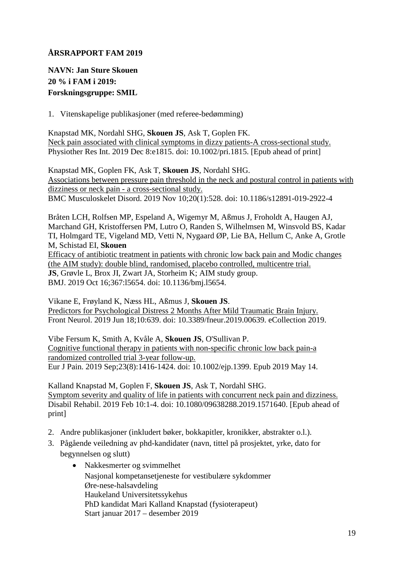## <span id="page-18-0"></span>**NAVN: Jan Sture Skouen 20 % i FAM i 2019: Forskningsgruppe: SMIL**

1. Vitenskapelige publikasjoner (med referee-bedømming)

Knapstad MK, Nordahl SHG, **Skouen JS**, Ask T, Goplen FK. [Neck pain associated with clinical symptoms in dizzy patients-A cross-sectional study.](https://www.ncbi.nlm.nih.gov/pubmed/31814286) Physiother Res Int. 2019 Dec 8:e1815. doi: 10.1002/pri.1815. [Epub ahead of print]

Knapstad MK, Goplen FK, Ask T, **Skouen JS**, Nordahl SHG. [Associations between pressure pain threshold in the neck and postural control in patients with](https://www.ncbi.nlm.nih.gov/pubmed/31707980)  [dizziness or neck pain -](https://www.ncbi.nlm.nih.gov/pubmed/31707980) a cross-sectional study. BMC Musculoskelet Disord. 2019 Nov 10;20(1):528. doi: 10.1186/s12891-019-2922-4

Bråten LCH, Rolfsen MP, Espeland A, Wigemyr M, Aßmus J, Froholdt A, Haugen AJ, Marchand GH, Kristoffersen PM, Lutro O, Randen S, Wilhelmsen M, Winsvold BS, Kadar TI, Holmgard TE, Vigeland MD, Vetti N, Nygaard ØP, Lie BA, Hellum C, Anke A, Grotle M, Schistad EI, **Skouen** 

[Efficacy of antibiotic treatment in patients with chronic low back pain](https://www.ncbi.nlm.nih.gov/pubmed/31619437) and Modic changes [\(the AIM study\): double blind, randomised, placebo controlled, multicentre trial.](https://www.ncbi.nlm.nih.gov/pubmed/31619437) **JS**, Grøvle L, Brox JI, Zwart JA, Storheim K; AIM study group. BMJ. 2019 Oct 16;367:l5654. doi: 10.1136/bmj.l5654.

Vikane E, Frøyland K, Næss HL, Aßmus J, **Skouen JS**. [Predictors for Psychological Distress 2 Months After Mild Traumatic Brain Injury.](https://www.ncbi.nlm.nih.gov/pubmed/31275230) Front Neurol. 2019 Jun 18;10:639. doi: 10.3389/fneur.2019.00639. eCollection 2019.

Vibe Fersum K, Smith A, Kvåle A, **Skouen JS**, O'Sullivan P. [Cognitive functional therapy in patients with non-specific chronic low back pain-a](https://www.ncbi.nlm.nih.gov/pubmed/30974479)  [randomized controlled trial 3-year follow-up.](https://www.ncbi.nlm.nih.gov/pubmed/30974479) Eur J Pain. 2019 Sep;23(8):1416-1424. doi: 10.1002/ejp.1399. Epub 2019 May 14.

Kalland Knapstad M, Goplen F, **Skouen JS**, Ask T, Nordahl SHG. [Symptom severity and quality of life in patients with concurrent neck pain and dizziness.](https://www.ncbi.nlm.nih.gov/pubmed/30739502) Disabil Rehabil. 2019 Feb 10:1-4. doi: 10.1080/09638288.2019.1571640. [Epub ahead of print]

- 2. Andre publikasjoner (inkludert bøker, bokkapitler, kronikker, abstrakter o.l.).
- 3. Pågående veiledning av phd-kandidater (navn, tittel på prosjektet, yrke, dato for begynnelsen og slutt)
	- Nakkesmerter og svimmelhet Nasjonal kompetansetjeneste for vestibulære sykdommer Øre-nese-halsavdeling Haukeland Universitetssykehus PhD kandidat Mari Kalland Knapstad (fysioterapeut) Start januar 2017 – desember 2019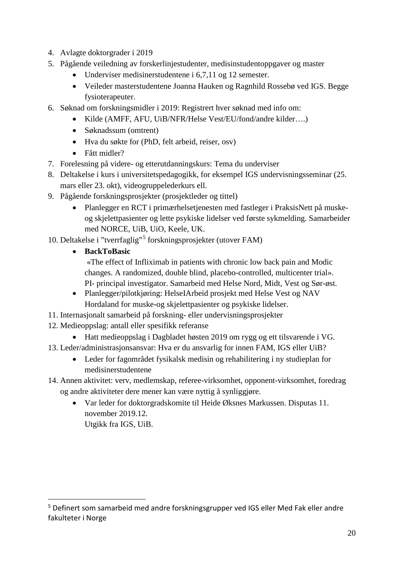- 4. Avlagte doktorgrader i 2019
- 5. Pågående veiledning av forskerlinjestudenter, medisinstudentoppgaver og master
	- Underviser medisinerstudentene i 6,7,11 og 12 semester.
	- Veileder masterstudentene Joanna Hauken og Ragnhild Rossebø ved IGS. Begge fysioterapeuter.
- 6. Søknad om forskningsmidler i 2019: Registrert hver søknad med info om:
	- Kilde (AMFF, AFU, UiB/NFR/Helse Vest/EU/fond/andre kilder….)
	- Søknadssum (omtrent)
	- Hva du søkte for (PhD, felt arbeid, reiser, osv)
	- Fått midler?
- 7. Forelesning på videre- og etterutdanningskurs: Tema du underviser
- 8. Deltakelse i kurs i universitetspedagogikk, for eksempel IGS undervisningsseminar (25. mars eller 23. okt), videogruppelederkurs ell.
- 9. Pågående forskningsprosjekter (prosjektleder og tittel)
	- Planlegger en RCT i primærhelsetjenesten med fastleger i PraksisNett på muskeog skjelettpasienter og lette psykiske lidelser ved første sykmelding. Samarbeider med NORCE, UiB, UiO, Keele, UK.
- 10. Deltakelse i "tverrfaglig"[5](#page-19-0) forskningsprosjekter (utover FAM)
	- **BackToBasic**

 $\overline{a}$ 

«The effect of Infliximab in patients with chronic low back pain and Modic changes. A randomized, double blind, placebo-controlled, multicenter trial». PI- principal investigator. Samarbeid med Helse Nord, Midt, Vest og Sør-øst.

- Planlegger/pilotkjøring: HelseIArbeid prosjekt med Helse Vest og NAV Hordaland for muske-og skjelettpasienter og psykiske lidelser.
- 11. Internasjonalt samarbeid på forskning- eller undervisningsprosjekter
- 12. Medieoppslag: antall eller spesifikk referanse
	- Hatt medieoppslag i Dagbladet høsten 2019 om rygg og ett tilsvarende i VG.
- 13. Leder/administrasjonsansvar: Hva er du ansvarlig for innen FAM, IGS eller UiB?
	- Leder for fagområdet fysikalsk medisin og rehabilitering i ny studieplan for medisinerstudentene
- 14. Annen aktivitet: verv, medlemskap, referee-virksomhet, opponent-virksomhet, foredrag og andre aktiviteter dere mener kan være nyttig å synliggjøre.
	- Var leder for doktorgradskomite til Heide Øksnes Markussen. Disputas 11. november 2019.12. Utgikk fra IGS, UiB.

<span id="page-19-0"></span><sup>5</sup> Definert som samarbeid med andre forskningsgrupper ved IGS eller Med Fak eller andre fakulteter i Norge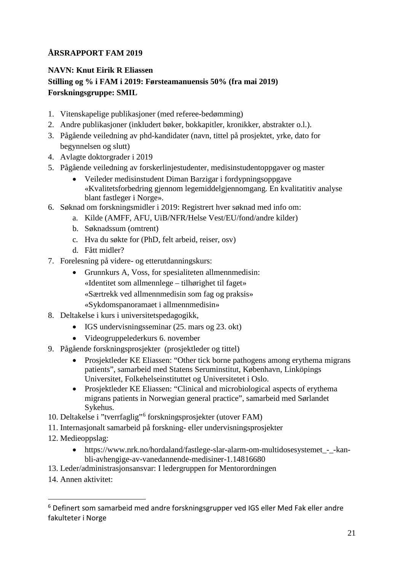## <span id="page-20-0"></span>**NAVN: Knut Eirik R Eliassen Stilling og % i FAM i 2019: Førsteamanuensis 50% (fra mai 2019) Forskningsgruppe: SMIL**

- 1. Vitenskapelige publikasjoner (med referee-bedømming)
- 2. Andre publikasjoner (inkludert bøker, bokkapitler, kronikker, abstrakter o.l.).
- 3. Pågående veiledning av phd-kandidater (navn, tittel på prosjektet, yrke, dato for begynnelsen og slutt)
- 4. Avlagte doktorgrader i 2019
- 5. Pågående veiledning av forskerlinjestudenter, medisinstudentoppgaver og master
	- Veileder medisinstudent Diman Barzigar i fordypningsoppgave «Kvalitetsforbedring gjennom legemiddelgjennomgang. En kvalitatitiv analyse blant fastleger i Norge».
- 6. Søknad om forskningsmidler i 2019: Registrert hver søknad med info om:
	- a. Kilde (AMFF, AFU, UiB/NFR/Helse Vest/EU/fond/andre kilder)
	- b. Søknadssum (omtrent)
	- c. Hva du søkte for (PhD, felt arbeid, reiser, osv)
	- d. Fått midler?
- 7. Forelesning på videre- og etterutdanningskurs:
	- Grunnkurs A, Voss, for spesialiteten allmennmedisin: «Identitet som allmennlege – tilhørighet til faget» «Særtrekk ved allmennmedisin som fag og praksis» «Sykdomspanoramaet i allmennmedisin»
- 8. Deltakelse i kurs i universitetspedagogikk,
	- IGS undervisningsseminar (25. mars og 23. okt)
	- Videogruppelederkurs 6. november
- 9. Pågående forskningsprosjekter (prosjektleder og tittel)
	- Prosjektleder KE Eliassen: "Other tick borne pathogens among erythema migrans patients", samarbeid med Statens Seruminstitut, København, Linköpings Universitet, Folkehelseinstituttet og Universitetet i Oslo.
	- Prosjektleder KE Eliassen: "Clinical and microbiological aspects of erythema migrans patients in Norwegian general practice", samarbeid med Sørlandet Sykehus.
- 10. Deltakelse i "tverrfaglig"[6](#page-20-1) forskningsprosjekter (utover FAM)
- 11. Internasjonalt samarbeid på forskning- eller undervisningsprosjekter
- 12. Medieoppslag:
	- https://www.nrk.no/hordaland/fastlege-slar-alarm-om-multidosesystemet -kanbli-avhengige-av-vanedannende-medisiner-1.14816680
- 13. Leder/administrasjonsansvar: I ledergruppen for Mentorordningen
- 14. Annen aktivitet:

 $\overline{a}$ 

<span id="page-20-1"></span><sup>6</sup> Definert som samarbeid med andre forskningsgrupper ved IGS eller Med Fak eller andre fakulteter i Norge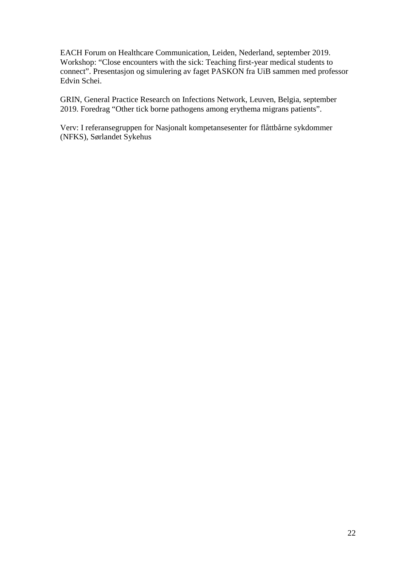EACH Forum on Healthcare Communication, Leiden, Nederland, september 2019. Workshop: "Close encounters with the sick: Teaching first-year medical students to connect". Presentasjon og simulering av faget PASKON fra UiB sammen med professor Edvin Schei.

GRIN, General Practice Research on Infections Network, Leuven, Belgia, september 2019. Foredrag "Other tick borne pathogens among erythema migrans patients".

Verv: I referansegruppen for Nasjonalt kompetansesenter for flåttbårne sykdommer (NFKS), Sørlandet Sykehus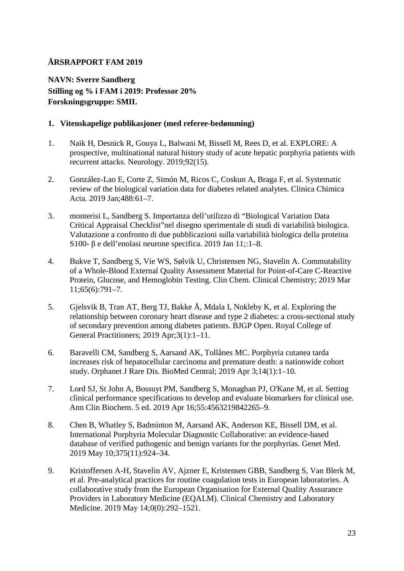<span id="page-22-0"></span>**NAVN: Sverre Sandberg Stilling og % i FAM i 2019: Professor 20% Forskningsgruppe: SMIL**

#### **1. Vitenskapelige publikasjoner (med referee-bedømming)**

- 1. Naik H, Desnick R, Gouya L, Balwani M, Bissell M, Rees D, et al. EXPLORE: A prospective, multinational natural history study of acute hepatic porphyria patients with recurrent attacks. Neurology. 2019;92(15).
- 2. González-Lao E, Corte Z, Simón M, Ricos C, Coskun A, Braga F, et al. Systematic review of the biological variation data for diabetes related analytes. Clinica Chimica Acta. 2019 Jan;488:61–7.
- 3. monterisi L, Sandberg S. Importanza dell'utilizzo di "Biological Variation Data Critical Appraisal Checklist"nel disegno sperimentale di studi di variabilità biologica. Valutazione a confronto di due pubblicazioni sulla variabilità biologica della proteina S100- β e dell'enolasi neurone specifica. 2019 Jan 11;:1–8.
- 4. Bukve T, Sandberg S, Vie WS, Sølvik U, Christensen NG, Stavelin A. Commutability of a Whole-Blood External Quality Assessment Material for Point-of-Care C-Reactive Protein, Glucose, and Hemoglobin Testing. Clin Chem. Clinical Chemistry; 2019 Mar 11;65(6):791–7.
- 5. Gjelsvik B, Tran AT, Berg TJ, Bakke Å, Mdala I, Nokleby K, et al. Exploring the relationship between coronary heart disease and type 2 diabetes: a cross-sectional study of secondary prevention among diabetes patients. BJGP Open. Royal College of General Practitioners; 2019 Apr;3(1):1–11.
- 6. Baravelli CM, Sandberg S, Aarsand AK, Tollånes MC. Porphyria cutanea tarda increases risk of hepatocellular carcinoma and premature death: a nationwide cohort study. Orphanet J Rare Dis. BioMed Central; 2019 Apr 3;14(1):1–10.
- 7. Lord SJ, St John A, Bossuyt PM, Sandberg S, Monaghan PJ, O'Kane M, et al. Setting clinical performance specifications to develop and evaluate biomarkers for clinical use. Ann Clin Biochem. 5 ed. 2019 Apr 16;55:4563219842265–9.
- 8. Chen B, Whatley S, Badminton M, Aarsand AK, Anderson KE, Bissell DM, et al. International Porphyria Molecular Diagnostic Collaborative: an evidence-based database of verified pathogenic and benign variants for the porphyrias. Genet Med. 2019 May 10;375(11):924–34.
- 9. Kristoffersen A-H, Stavelin AV, Ajzner E, Kristensen GBB, Sandberg S, Van Blerk M, et al. Pre-analytical practices for routine coagulation tests in European laboratories. A collaborative study from the European Organisation for External Quality Assurance Providers in Laboratory Medicine (EQALM). Clinical Chemistry and Laboratory Medicine. 2019 May 14;0(0):292–1521.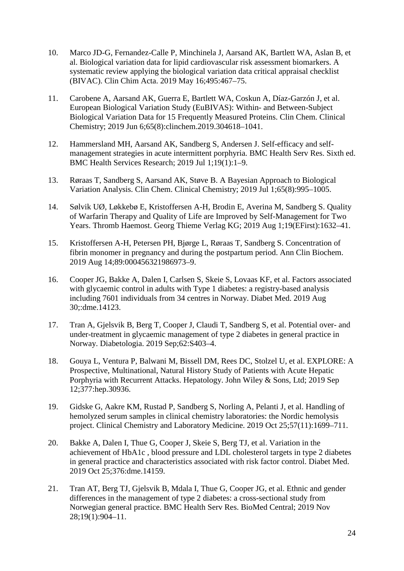- 10. Marco JD-G, Fernandez-Calle P, Minchinela J, Aarsand AK, Bartlett WA, Aslan B, et al. Biological variation data for lipid cardiovascular risk assessment biomarkers. A systematic review applying the biological variation data critical appraisal checklist (BIVAC). Clin Chim Acta. 2019 May 16;495:467–75.
- 11. Carobene A, Aarsand AK, Guerra E, Bartlett WA, Coskun A, Díaz-Garzón J, et al. European Biological Variation Study (EuBIVAS): Within- and Between-Subject Biological Variation Data for 15 Frequently Measured Proteins. Clin Chem. Clinical Chemistry; 2019 Jun 6;65(8):clinchem.2019.304618–1041.
- 12. Hammersland MH, Aarsand AK, Sandberg S, Andersen J. Self-efficacy and selfmanagement strategies in acute intermittent porphyria. BMC Health Serv Res. Sixth ed. BMC Health Services Research; 2019 Jul 1;19(1):1–9.
- 13. Røraas T, Sandberg S, Aarsand AK, Støve B. A Bayesian Approach to Biological Variation Analysis. Clin Chem. Clinical Chemistry; 2019 Jul 1;65(8):995–1005.
- 14. Sølvik UØ, Løkkebø E, Kristoffersen A-H, Brodin E, Averina M, Sandberg S. Quality of Warfarin Therapy and Quality of Life are Improved by Self-Management for Two Years. Thromb Haemost. Georg Thieme Verlag KG; 2019 Aug 1;19(EFirst):1632–41.
- 15. Kristoffersen A-H, Petersen PH, Bjørge L, Røraas T, Sandberg S. Concentration of fibrin monomer in pregnancy and during the postpartum period. Ann Clin Biochem. 2019 Aug 14;89:000456321986973–9.
- 16. Cooper JG, Bakke A, Dalen I, Carlsen S, Skeie S, Lovaas KF, et al. Factors associated with glycaemic control in adults with Type 1 diabetes: a registry-based analysis including 7601 individuals from 34 centres in Norway. Diabet Med. 2019 Aug 30;:dme.14123.
- 17. Tran A, Gjelsvik B, Berg T, Cooper J, Claudi T, Sandberg S, et al. Potential over- and under-treatment in glycaemic management of type 2 diabetes in general practice in Norway. Diabetologia. 2019 Sep;62:S403–4.
- 18. Gouya L, Ventura P, Balwani M, Bissell DM, Rees DC, Stolzel U, et al. EXPLORE: A Prospective, Multinational, Natural History Study of Patients with Acute Hepatic Porphyria with Recurrent Attacks. Hepatology. John Wiley & Sons, Ltd; 2019 Sep 12;377:hep.30936.
- 19. Gidske G, Aakre KM, Rustad P, Sandberg S, Norling A, Pelanti J, et al. Handling of hemolyzed serum samples in clinical chemistry laboratories: the Nordic hemolysis project. Clinical Chemistry and Laboratory Medicine. 2019 Oct 25;57(11):1699–711.
- 20. Bakke A, Dalen I, Thue G, Cooper J, Skeie S, Berg TJ, et al. Variation in the achievement of HbA1c , blood pressure and LDL cholesterol targets in type 2 diabetes in general practice and characteristics associated with risk factor control. Diabet Med. 2019 Oct 25;376:dme.14159.
- 21. Tran AT, Berg TJ, Gjelsvik B, Mdala I, Thue G, Cooper JG, et al. Ethnic and gender differences in the management of type 2 diabetes: a cross-sectional study from Norwegian general practice. BMC Health Serv Res. BioMed Central; 2019 Nov 28;19(1):904–11.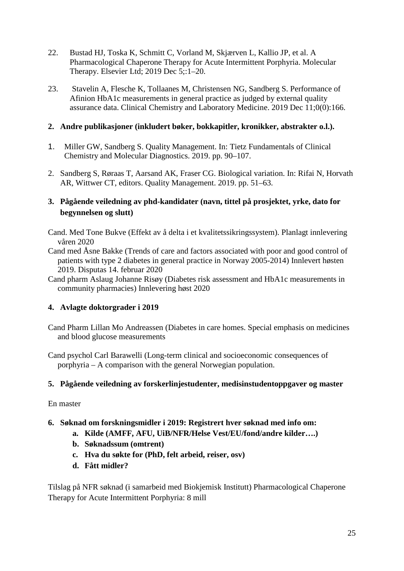- 22. Bustad HJ, Toska K, Schmitt C, Vorland M, Skjærven L, Kallio JP, et al. A Pharmacological Chaperone Therapy for Acute Intermittent Porphyria. Molecular Therapy. Elsevier Ltd; 2019 Dec 5;:1–20.
- 23. Stavelin A, Flesche K, Tollaanes M, Christensen NG, Sandberg S. Performance of Afinion HbA1c measurements in general practice as judged by external quality assurance data. Clinical Chemistry and Laboratory Medicine. 2019 Dec 11;0(0):166.

#### **2. Andre publikasjoner (inkludert bøker, bokkapitler, kronikker, abstrakter o.l.).**

- 1. Miller GW, Sandberg S. Quality Management. In: Tietz Fundamentals of Clinical Chemistry and Molecular Diagnostics. 2019. pp. 90–107.
- 2. Sandberg S, Røraas T, Aarsand AK, Fraser CG. Biological variation. In: Rifai N, Horvath AR, Wittwer CT, editors. Quality Management. 2019. pp. 51–63.

#### **3. Pågående veiledning av phd-kandidater (navn, tittel på prosjektet, yrke, dato for begynnelsen og slutt)**

Cand. Med Tone Bukve (Effekt av å delta i et kvalitetssikringssystem). Planlagt innlevering våren 2020

- Cand med Åsne Bakke (Trends of care and factors associated with poor and good control of patients with type 2 diabetes in general practice in Norway 2005-2014) Innlevert høsten 2019. Disputas 14. februar 2020
- Cand pharm Aslaug Johanne Risøy (Diabetes risk assessment and HbA1c measurements in community pharmacies) Innlevering høst 2020

## **4. Avlagte doktorgrader i 2019**

- Cand Pharm Lillan Mo Andreassen (Diabetes in care homes. Special emphasis on medicines and blood glucose measurements
- Cand psychol Carl Barawelli (Long-term clinical and socioeconomic consequences of porphyria – A comparison with the general Norwegian population.

## **5. Pågående veiledning av forskerlinjestudenter, medisinstudentoppgaver og master**

En master

## **6. Søknad om forskningsmidler i 2019: Registrert hver søknad med info om:**

- **a. Kilde (AMFF, AFU, UiB/NFR/Helse Vest/EU/fond/andre kilder….)**
- **b. Søknadssum (omtrent)**
- **c. Hva du søkte for (PhD, felt arbeid, reiser, osv)**
- **d. Fått midler?**

Tilslag på NFR søknad (i samarbeid med Biokjemisk Institutt) Pharmacological Chaperone Therapy for Acute Intermittent Porphyria: 8 mill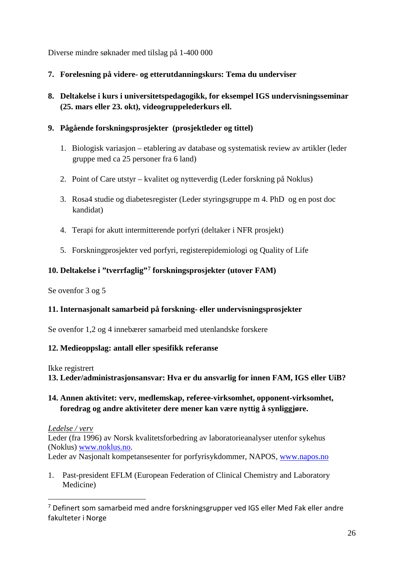Diverse mindre søknader med tilslag på 1-400 000

- **7. Forelesning på videre- og etterutdanningskurs: Tema du underviser**
- **8. Deltakelse i kurs i universitetspedagogikk, for eksempel IGS undervisningsseminar (25. mars eller 23. okt), videogruppelederkurs ell.**
- **9. Pågående forskningsprosjekter (prosjektleder og tittel)**
	- 1. Biologisk variasjon etablering av database og systematisk review av artikler (leder gruppe med ca 25 personer fra 6 land)
	- 2. Point of Care utstyr kvalitet og nytteverdig (Leder forskning på Noklus)
	- 3. Rosa4 studie og diabetesregister (Leder styringsgruppe m 4. PhD og en post doc kandidat)
	- 4. Terapi for akutt intermitterende porfyri (deltaker i NFR prosjekt)
	- 5. Forskningprosjekter ved porfyri, registerepidemiologi og Quality of Life

#### **10. Deltakelse i "tverrfaglig"[7](#page-25-0) forskningsprosjekter (utover FAM)**

Se ovenfor 3 og 5

## **11. Internasjonalt samarbeid på forskning- eller undervisningsprosjekter**

Se ovenfor 1,2 og 4 innebærer samarbeid med utenlandske forskere

#### **12. Medieoppslag: antall eller spesifikk referanse**

Ikke registrert

**13. Leder/administrasjonsansvar: Hva er du ansvarlig for innen FAM, IGS eller UiB?**

## **14. Annen aktivitet: verv, medlemskap, referee-virksomhet, opponent-virksomhet, foredrag og andre aktiviteter dere mener kan være nyttig å synliggjøre.**

*Ledelse / verv*

 $\overline{a}$ 

Leder (fra 1996) av Norsk kvalitetsforbedring av laboratorieanalyser utenfor sykehus (Noklus) [www.noklus.no.](http://www.noklus.no/)

Leder av Nasjonalt kompetansesenter for porfyrisykdommer, NAPOS, [www.napos.no](http://www.napos.no/)

1. Past-president EFLM (European Federation of Clinical Chemistry and Laboratory Medicine)

<span id="page-25-0"></span><sup>7</sup> Definert som samarbeid med andre forskningsgrupper ved IGS eller Med Fak eller andre fakulteter i Norge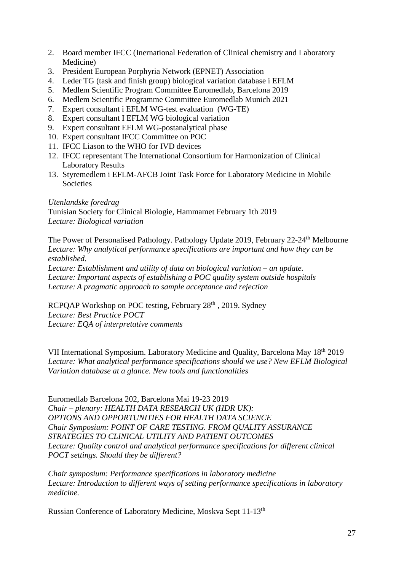- 2. Board member IFCC (Inernational Federation of Clinical chemistry and Laboratory Medicine)
- 3. President European Porphyria Network (EPNET) Association
- 4. Leder TG (task and finish group) biological variation database i EFLM
- 5. Medlem Scientific Program Committee Euromedlab, Barcelona 2019
- 6. Medlem Scientific Programme Committee Euromedlab Munich 2021
- 7. Expert consultant i EFLM WG-test evaluation (WG-TE)
- 8. Expert consultant I EFLM WG biological variation
- 9. Expert consultant EFLM WG-postanalytical phase
- 10. Expert consultant IFCC Committee on POC
- 11. IFCC Liason to the WHO for IVD devices
- 12. IFCC representant The International Consortium for Harmonization of Clinical Laboratory Results
- 13. Styremedlem i EFLM-AFCB Joint Task Force for Laboratory Medicine in Mobile **Societies**

#### *Utenlandske foredrag*

Tunisian Society for Clinical Biologie, Hammamet February 1th 2019 *Lecture: Biological variation*

The Power of Personalised Pathology. Pathology Update 2019, February 22-24th Melbourne *Lecture: Why analytical performance specifications are important and how they can be established.* 

*Lecture: Establishment and utility of data on biological variation – an update. Lecture: Important aspects of establishing a POC quality system outside hospitals Lecture: A pragmatic approach to sample acceptance and rejection*

RCPQAP Workshop on POC testing, February 28<sup>th</sup>, 2019. Sydney *Lecture: Best Practice POCT Lecture: EQA of interpretative comments*

VII International Symposium. Laboratory Medicine and Quality, Barcelona May 18th 2019 *Lecture: What analytical performance specifications should we use? New EFLM Biological Variation database at a glance. New tools and functionalities*

Euromedlab Barcelona 202, Barcelona Mai 19-23 2019 *Chair – plenary: HEALTH DATA RESEARCH UK (HDR UK): OPTIONS AND OPPORTUNITIES FOR HEALTH DATA SCIENCE Chair Symposium: POINT OF CARE TESTING. FROM QUALITY ASSURANCE STRATEGIES TO CLINICAL UTILITY AND PATIENT OUTCOMES Lecture: Quality control and analytical performance specifications for different clinical POCT settings. Should they be different?* 

*Chair symposium: Performance specifications in laboratory medicine Lecture: Introduction to different ways of setting performance specifications in laboratory medicine.*

Russian Conference of Laboratory Medicine, Moskva Sept 11-13<sup>th</sup>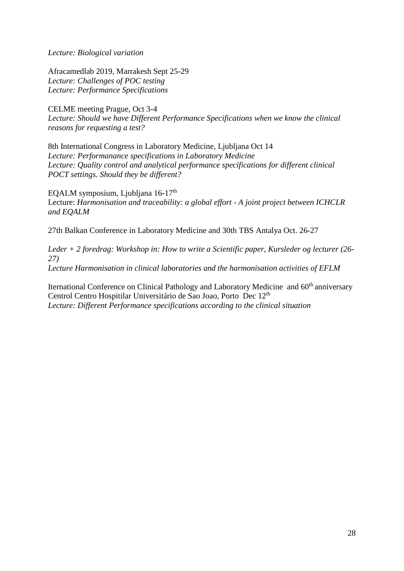*Lecture: Biological variation*

Afracamedlab 2019, Marrakesh Sept 25-29 *Lecture: Challenges of POC testing Lecture: Performance Specifications*

CELME meeting Prague, Oct 3-4 *Lecture: Should we have Different Performance Specifications when we know the clinical reasons for requesting a test?*

8th International Congress in Laboratory Medicine, Ljubljana Oct 14 *Lecture: Performanance specifications in Laboratory Medicine Lecture: Quality control and analytical performance specifications for different clinical POCT settings. Should they be different?*

EQALM symposium, Ljubljana 16-17<sup>th</sup> Lecture: *Harmonisation and traceability: a global effort - A joint project between ICHCLR and EQALM*

27th Balkan Conference in Laboratory Medicine and 30th TBS Antalya Oct. 26-27

*Leder + 2 foredrag: Workshop in: How to write a Scientific paper, Kursleder og lecturer (26- 27) Lecture Harmonisation in clinical laboratories and the harmonisation activities of EFLM*

Iternational Conference on Clinical Pathology and Laboratory Medicine and 60<sup>th</sup> anniversary Centrol Centro Hospitilar Universitário de Sao Joao, Porto Dec 12<sup>th</sup> *Lecture: Different Performance specifications according to the clinical situation*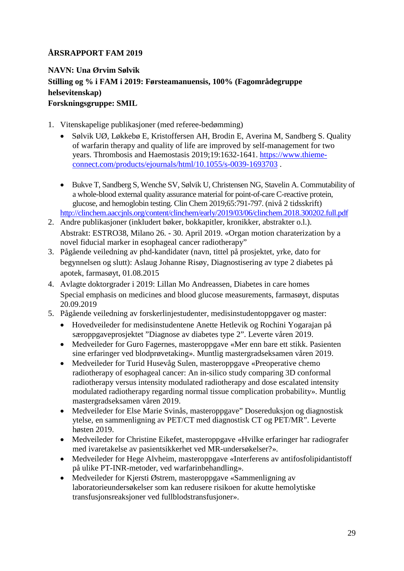## <span id="page-28-0"></span>**NAVN: Una Ørvim Sølvik Stilling og % i FAM i 2019: Førsteamanuensis, 100% (Fagområdegruppe helsevitenskap) Forskningsgruppe: SMIL**

- 1. Vitenskapelige publikasjoner (med referee-bedømming)
	- Sølvik UØ, Løkkebø E, Kristoffersen AH, Brodin E, Averina M, Sandberg S. Quality of warfarin therapy and quality of life are improved by self-management for two years. Thrombosis and Haemostasis 2019;19:1632-1641. [https://www.thieme](https://www.thieme-connect.com/products/ejournals/html/10.1055/s-0039-1693703)[connect.com/products/ejournals/html/10.1055/s-0039-1693703](https://www.thieme-connect.com/products/ejournals/html/10.1055/s-0039-1693703) .
	- Bukve T, Sandberg S, Wenche SV, Sølvik U, Christensen NG, Stavelin A. Commutability of a whole-blood external quality assurance material for point-of-care C-reactive protein, glucose, and hemoglobin testing. Clin Chem 2019;65:791-797. (nivå 2 tidsskrift) <http://clinchem.aaccjnls.org/content/clinchem/early/2019/03/06/clinchem.2018.300202.full.pdf>
- 2. Andre publikasjoner (inkludert bøker, bokkapitler, kronikker, abstrakter o.l.). Abstrakt: ESTRO38, Milano 26. - 30. April 2019. «Organ motion charaterization by a novel fiducial marker in esophageal cancer radiotherapy"
- 3. Pågående veiledning av phd-kandidater (navn, tittel på prosjektet, yrke, dato for begynnelsen og slutt): Aslaug Johanne Risøy, Diagnostisering av type 2 diabetes på apotek, farmasøyt, 01.08.2015
- 4. Avlagte doktorgrader i 2019: Lillan Mo Andreassen, Diabetes in care homes Special emphasis on medicines and blood glucose measurements, farmasøyt, disputas 20.09.2019
- 5. Pågående veiledning av forskerlinjestudenter, medisinstudentoppgaver og master:
	- Hovedveileder for medisinstudentene Anette Hetlevik og Rochini Yogarajan på særoppgaveprosjektet "Diagnose av diabetes type 2". Leverte våren 2019.
	- Medveileder for Guro Fagernes, masteroppgave «Mer enn bare ett stikk. Pasienten sine erfaringer ved blodprøvetaking». Muntlig mastergradseksamen våren 2019.
	- Medveileder for Turid Husevåg Sulen, masteroppgave «Preoperative chemo radiotherapy of esophageal cancer: An in-silico study comparing 3D conformal radiotherapy versus intensity modulated radiotherapy and dose escalated intensity modulated radiotherapy regarding normal tissue complication probability». Muntlig mastergradseksamen våren 2019.
	- Medveileder for Else Marie Svinås, masteroppgave" Dosereduksjon og diagnostisk ytelse, en sammenligning av PET/CT med diagnostisk CT og PET/MR". Leverte høsten 2019.
	- Medveileder for Christine Eikefet, masteroppgave «Hvilke erfaringer har radiografer med ivaretakelse av pasientsikkerhet ved MR-undersøkelser?».
	- Medveileder for Hege Alvheim, masteroppgave «Interferens av antifosfolipidantistoff på ulike PT-INR-metoder, ved warfarinbehandling».
	- Medveileder for Kjersti Østrem, masteroppgave «Sammenligning av laboratorieundersøkelser som kan redusere risikoen for akutte hemolytiske transfusjonsreaksjoner ved fullblodstransfusjoner».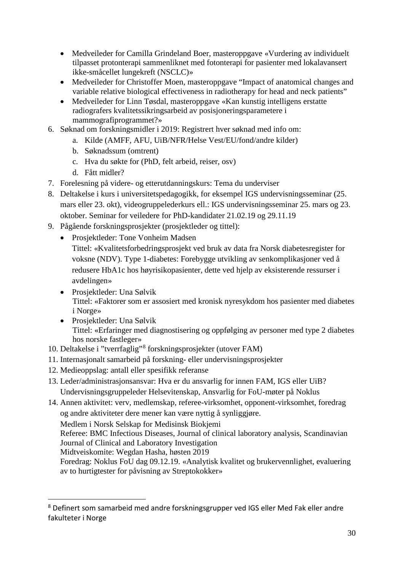- Medveileder for Camilla Grindeland Boer, masteroppgave «Vurdering av individuelt tilpasset protonterapi sammenliknet med fotonterapi for pasienter med lokalavansert ikke-småcellet lungekreft (NSCLC)»
- Medveileder for Christoffer Moen, masteroppgave "Impact of anatomical changes and variable relative biological effectiveness in radiotherapy for head and neck patients"
- Medveileder for Linn Tøsdal, masteroppgave «Kan kunstig intelligens erstatte radiografers kvalitetssikringsarbeid av posisjoneringsparametere i mammografiprogrammet?»
- 6. Søknad om forskningsmidler i 2019: Registrert hver søknad med info om:
	- a. Kilde (AMFF, AFU, UiB/NFR/Helse Vest/EU/fond/andre kilder)
	- b. Søknadssum (omtrent)
	- c. Hva du søkte for (PhD, felt arbeid, reiser, osv)
	- d. Fått midler?
- 7. Forelesning på videre- og etterutdanningskurs: Tema du underviser
- 8. Deltakelse i kurs i universitetspedagogikk, for eksempel IGS undervisningsseminar (25. mars eller 23. okt), videogruppelederkurs ell.: IGS undervisningsseminar 25. mars og 23. oktober. Seminar for veiledere for PhD-kandidater 21.02.19 og 29.11.19
- 9. Pågående forskningsprosjekter (prosjektleder og tittel):
	- Prosjektleder: Tone Vonheim Madsen
		- Tittel: «Kvalitetsforbedringsprosjekt ved bruk av data fra Norsk diabetesregister for voksne (NDV). Type 1-diabetes: Forebygge utvikling av senkomplikasjoner ved å redusere HbA1c hos høyrisikopasienter, dette ved hjelp av eksisterende ressurser i avdelingen»
	- Prosjektleder: Una Sølvik Tittel: «Faktorer som er assosiert med kronisk nyresykdom hos pasienter med diabetes i Norge»
	- Prosjektleder: Una Sølvik Tittel: «Erfaringer med diagnostisering og oppfølging av personer med type 2 diabetes hos norske fastleger»
- 10. Deltakelse i "tverrfaglig"[8](#page-29-0) forskningsprosjekter (utover FAM)
- 11. Internasjonalt samarbeid på forskning- eller undervisningsprosjekter
- 12. Medieoppslag: antall eller spesifikk referanse

 $\overline{a}$ 

13. Leder/administrasjonsansvar: Hva er du ansvarlig for innen FAM, IGS eller UiB? Undervisningsgruppeleder Helsevitenskap, Ansvarlig for FoU-møter på Noklus

14. Annen aktivitet: verv, medlemskap, referee-virksomhet, opponent-virksomhet, foredrag og andre aktiviteter dere mener kan være nyttig å synliggjøre. Medlem i Norsk Selskap for Medisinsk Biokjemi Referee: BMC Infectious Diseases, Journal of clinical laboratory analysis, Scandinavian Journal of Clinical and Laboratory Investigation Midtveiskomite: Wegdan Hasha, høsten 2019 Foredrag: Noklus FoU dag 09.12.19. «Analytisk kvalitet og brukervennlighet, evaluering av to hurtigtester for påvisning av Streptokokker»

<span id="page-29-0"></span><sup>8</sup> Definert som samarbeid med andre forskningsgrupper ved IGS eller Med Fak eller andre fakulteter i Norge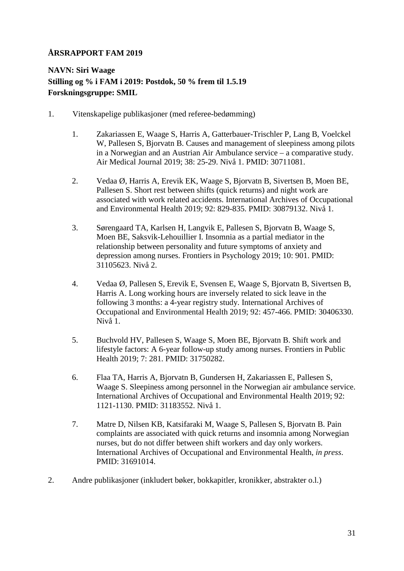## <span id="page-30-0"></span>**NAVN: Siri Waage Stilling og % i FAM i 2019: Postdok, 50 % frem til 1.5.19 Forskningsgruppe: SMIL**

- 1. Vitenskapelige publikasjoner (med referee-bedømming)
	- 1. Zakariassen E, Waage S, Harris A, Gatterbauer-Trischler P, Lang B, Voelckel W, Pallesen S, Bjorvatn B. Causes and management of sleepiness among pilots in a Norwegian and an Austrian Air Ambulance service – a comparative study. Air Medical Journal 2019; 38: 25-29. Nivå 1. PMID: 30711081.
	- 2. Vedaa Ø, Harris A, Erevik EK, Waage S, Bjorvatn B, Sivertsen B, Moen BE, Pallesen S. Short rest between shifts (quick returns) and night work are associated with work related accidents. International Archives of Occupational and Environmental Health 2019; 92: 829-835. PMID: 30879132. Nivå 1.
	- 3. Sørengaard TA, Karlsen H, Langvik E, Pallesen S, Bjorvatn B, Waage S, Moen BE, Saksvik-Lehouillier I. Insomnia as a partial mediator in the relationship between personality and future symptoms of anxiety and depression among nurses. Frontiers in Psychology 2019; 10: 901. PMID: 31105623. Nivå 2.
	- 4. Vedaa Ø, Pallesen S, Erevik E, Svensen E, Waage S, Bjorvatn B, Sivertsen B, Harris A. Long working hours are inversely related to sick leave in the following 3 months: a 4-year registry study. International Archives of Occupational and Environmental Health 2019; 92: 457-466. PMID: 30406330. Nivå 1.
	- 5. Buchvold HV, Pallesen S, Waage S, Moen BE, Bjorvatn B. Shift work and lifestyle factors: A 6-year follow-up study among nurses. Frontiers in Public Health 2019; 7: 281. PMID: 31750282.
	- 6. Flaa TA, Harris A, Bjorvatn B, Gundersen H, Zakariassen E, Pallesen S, Waage S. Sleepiness among personnel in the Norwegian air ambulance service. International Archives of Occupational and Environmental Health 2019; 92: 1121-1130. PMID: 31183552. Nivå 1.
	- 7. Matre D, Nilsen KB, Katsifaraki M, Waage S, Pallesen S, Bjorvatn B. Pain complaints are associated with quick returns and insomnia among Norwegian nurses, but do not differ between shift workers and day only workers. International Archives of Occupational and Environmental Health, *in press*. PMID: 31691014.
- 2. Andre publikasjoner (inkludert bøker, bokkapitler, kronikker, abstrakter o.l.)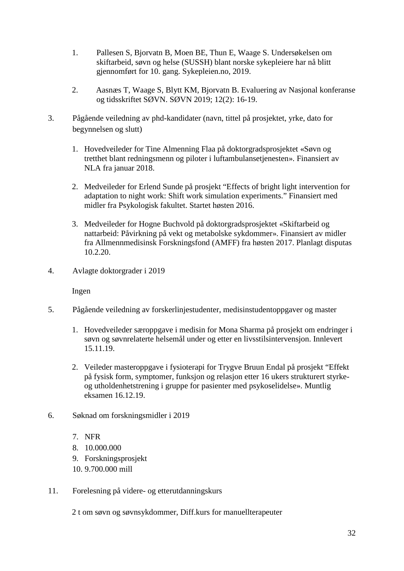- 1. Pallesen S, Bjorvatn B, Moen BE, Thun E, Waage S. Undersøkelsen om skiftarbeid, søvn og helse (SUSSH) blant norske sykepleiere har nå blitt gjennomført for 10. gang. Sykepleien.no, 2019.
- 2. Aasnæs T, Waage S, Blytt KM, Bjorvatn B. Evaluering av Nasjonal konferanse og tidsskriftet SØVN. SØVN 2019; 12(2): 16-19.
- 3. Pågående veiledning av phd-kandidater (navn, tittel på prosjektet, yrke, dato for begynnelsen og slutt)
	- 1. Hovedveileder for Tine Almenning Flaa på doktorgradsprosjektet «Søvn og tretthet blant redningsmenn og piloter i luftambulansetjenesten». Finansiert av NLA fra januar 2018.
	- 2. Medveileder for Erlend Sunde på prosjekt "Effects of bright light intervention for adaptation to night work: Shift work simulation experiments." Finansiert med midler fra Psykologisk fakultet. Startet høsten 2016.
	- 3. Medveileder for Hogne Buchvold på doktorgradsprosjektet «Skiftarbeid og nattarbeid: Påvirkning på vekt og metabolske sykdommer». Finansiert av midler fra Allmennmedisinsk Forskningsfond (AMFF) fra høsten 2017. Planlagt disputas 10.2.20.
- 4. Avlagte doktorgrader i 2019

Ingen

- 5. Pågående veiledning av forskerlinjestudenter, medisinstudentoppgaver og master
	- 1. Hovedveileder særoppgave i medisin for Mona Sharma på prosjekt om endringer i søvn og søvnrelaterte helsemål under og etter en livsstilsintervensjon. Innlevert 15.11.19.
	- 2. Veileder masteroppgave i fysioterapi for Trygve Bruun Endal på prosjekt "Effekt på fysisk form, symptomer, funksjon og relasjon etter 16 ukers strukturert styrkeog utholdenhetstrening i gruppe for pasienter med psykoselidelse». Muntlig eksamen 16.12.19.
- 6. Søknad om forskningsmidler i 2019
	- 7. NFR
	- 8. 10.000.000
	- 9. Forskningsprosjekt
	- 10. 9.700.000 mill
- 11. Forelesning på videre- og etterutdanningskurs

2 t om søvn og søvnsykdommer, Diff.kurs for manuellterapeuter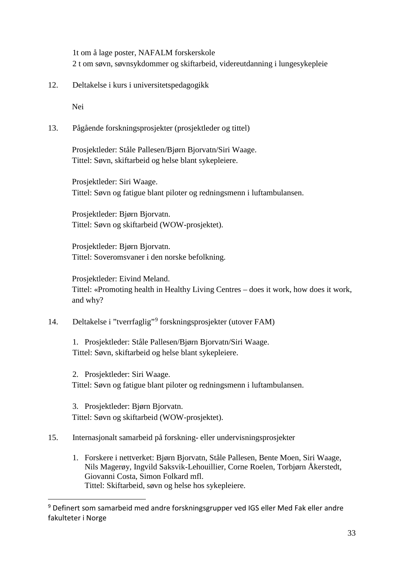1t om å lage poster, NAFALM forskerskole 2 t om søvn, søvnsykdommer og skiftarbeid, videreutdanning i lungesykepleie

12. Deltakelse i kurs i universitetspedagogikk

Nei

 $\overline{a}$ 

13. Pågående forskningsprosjekter (prosjektleder og tittel)

Prosjektleder: Ståle Pallesen/Bjørn Bjorvatn/Siri Waage. Tittel: Søvn, skiftarbeid og helse blant sykepleiere.

Prosjektleder: Siri Waage. Tittel: Søvn og fatigue blant piloter og redningsmenn i luftambulansen.

Prosjektleder: Bjørn Bjorvatn. Tittel: Søvn og skiftarbeid (WOW-prosjektet).

Prosjektleder: Bjørn Bjorvatn. Tittel: Soveromsvaner i den norske befolkning.

Prosjektleder: Eivind Meland. Tittel: «Promoting health in Healthy Living Centres – does it work, how does it work, and why?

14. Deltakelse i "tverrfaglig"[9](#page-32-0) forskningsprosjekter (utover FAM)

1. Prosjektleder: Ståle Pallesen/Bjørn Bjorvatn/Siri Waage. Tittel: Søvn, skiftarbeid og helse blant sykepleiere.

2. Prosjektleder: Siri Waage. Tittel: Søvn og fatigue blant piloter og redningsmenn i luftambulansen.

3. Prosjektleder: Bjørn Bjorvatn. Tittel: Søvn og skiftarbeid (WOW-prosjektet).

#### 15. Internasjonalt samarbeid på forskning- eller undervisningsprosjekter

1. Forskere i nettverket: Bjørn Bjorvatn, Ståle Pallesen, Bente Moen, Siri Waage, Nils Magerøy, Ingvild Saksvik-Lehouillier, Corne Roelen, Torbjørn Åkerstedt, Giovanni Costa, Simon Folkard mfl. Tittel: Skiftarbeid, søvn og helse hos sykepleiere.

<span id="page-32-0"></span><sup>9</sup> Definert som samarbeid med andre forskningsgrupper ved IGS eller Med Fak eller andre fakulteter i Norge